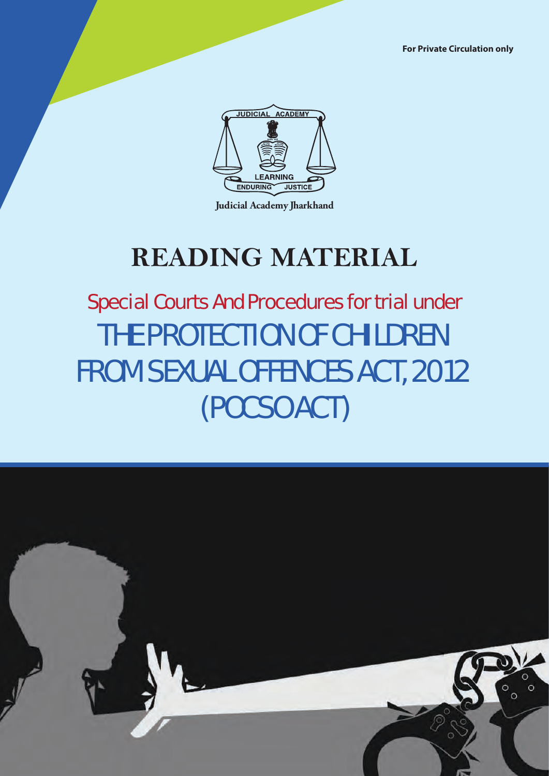**For Private Circulation only**



**Judicial Academy Jharkhand**

# **READING MATERIAL**

# THE PROTECTION OF CHILDREN FROM SEXUAL OFFENCES ACT, 2012 (POCSO ACT) Special Courts And Procedures for trial under

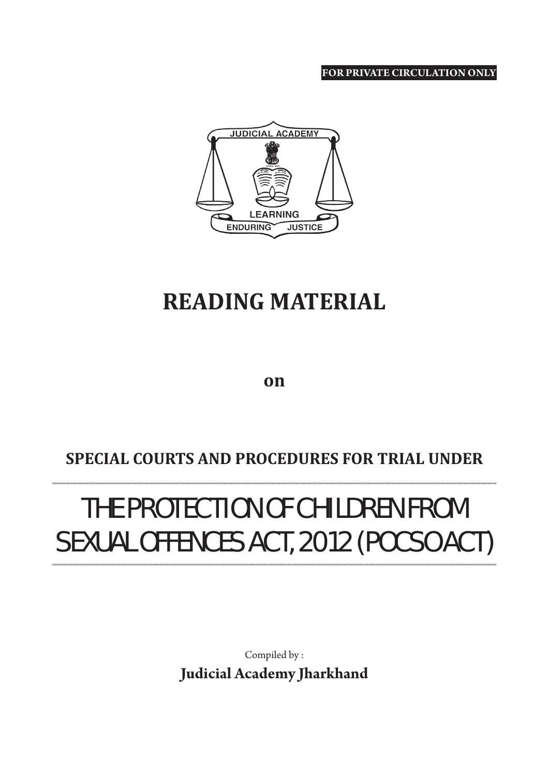**FOR PRIVATE CIRCULATION ONLY**



# **READING MATERIAL**

**on**

# **SPECIAL COURTS AND PROCEDURES FOR TRIAL UNDER**

# THE PROTECTION OF CHILDREN FROM SEXUAL OFFENCES ACT, 2012 (POCSO ACT)

Compiled by : **Judicial Academy Jharkhand**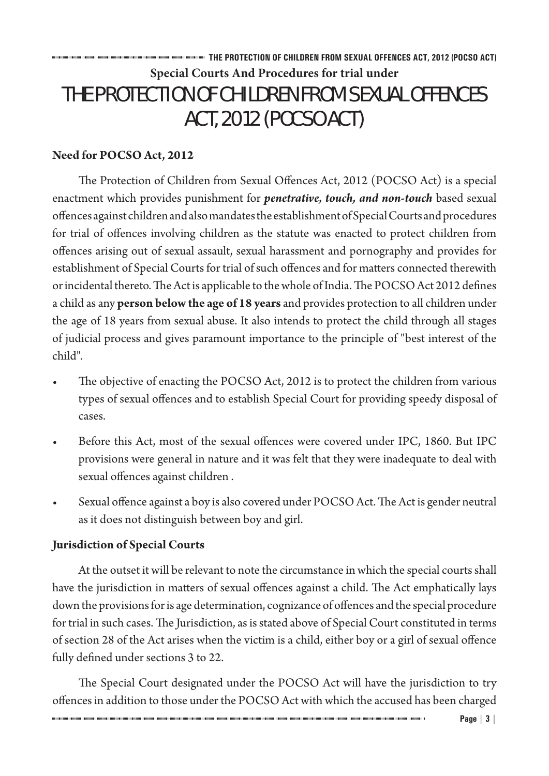# **THE PROTECTION OF CHILDREN FROM SEXUAL OFFENCES ACT, 2012 (POCSO ACT) Special Courts And Procedures for trial under**  THE PROTECTION OF CHILDREN FROM SEXUAL OFFENCES ACT, 2012 (POCSO ACT)

# **Need for POCSO Act, 2012**

The Protection of Children from Sexual Offences Act, 2012 (POCSO Act) is a special enactment which provides punishment for *penetrative, touch, and non-touch* based sexual offences against children and also mandates the establishment of Special Courts and procedures for trial of offences involving children as the statute was enacted to protect children from offences arising out of sexual assault, sexual harassment and pornography and provides for establishment of Special Courts for trial of such offences and for matters connected therewith or incidental thereto. The Act is applicable to the whole of India. The POCSO Act 2012 defines a child as any **person below the age of 18 years** and provides protection to all children under the age of 18 years from sexual abuse. It also intends to protect the child through all stages of judicial process and gives paramount importance to the principle of "best interest of the child".

- The objective of enacting the POCSO Act, 2012 is to protect the children from various types of sexual offences and to establish Special Court for providing speedy disposal of cases.
- Before this Act, most of the sexual offences were covered under IPC, 1860. But IPC provisions were general in nature and it was felt that they were inadequate to deal with sexual offences against children .
- Sexual offence against a boy is also covered under POCSO Act. The Act is gender neutral as it does not distinguish between boy and girl.

## **Jurisdiction of Special Courts**

At the outset it will be relevant to note the circumstance in which the special courts shall have the jurisdiction in matters of sexual offences against a child. The Act emphatically lays down the provisions for is age determination, cognizance of offences and the special procedure for trial in such cases. The Jurisdiction, as is stated above of Special Court constituted in terms of section 28 of the Act arises when the victim is a child, either boy or a girl of sexual offence fully defined under sections 3 to 22.

The Special Court designated under the POCSO Act will have the jurisdiction to try offences in addition to those under the POCSO Act with which the accused has been charged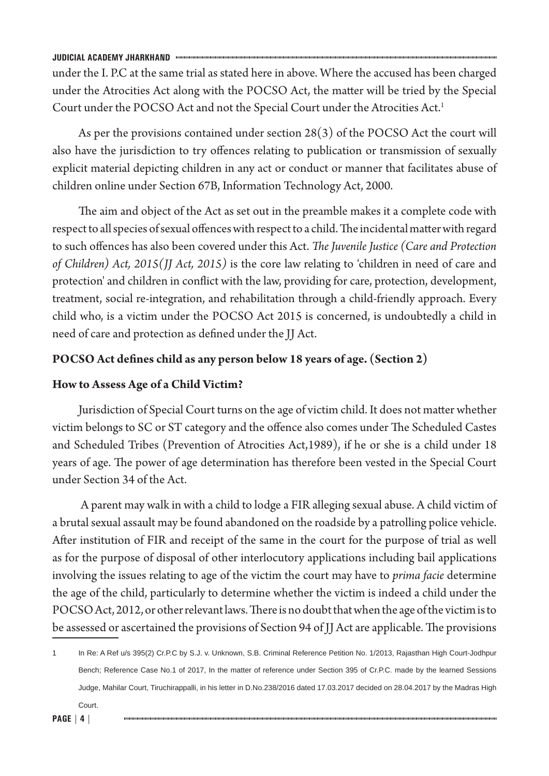under the I. P.C at the same trial as stated here in above. Where the accused has been charged under the Atrocities Act along with the POCSO Act, the matter will be tried by the Special Court under the POCSO Act and not the Special Court under the Atrocities Act.<sup>1</sup>

As per the provisions contained under section 28(3) of the POCSO Act the court will also have the jurisdiction to try offences relating to publication or transmission of sexually explicit material depicting children in any act or conduct or manner that facilitates abuse of children online under Section 67B, Information Technology Act, 2000.

The aim and object of the Act as set out in the preamble makes it a complete code with respect to all species of sexual offences with respect to a child. The incidental matter with regard to such offences has also been covered under this Act. *The Juvenile Justice (Care and Protection of Children) Act, 2015(JJ Act, 2015)* is the core law relating to 'children in need of care and protection' and children in conflict with the law, providing for care, protection, development, treatment, social re-integration, and rehabilitation through a child-friendly approach. Every child who, is a victim under the POCSO Act 2015 is concerned, is undoubtedly a child in need of care and protection as defined under the JJ Act.

### **POCSO Act defines child as any person below 18 years of age. (Section 2)**

### **How to Assess Age of a Child Victim?**

Jurisdiction of Special Court turns on the age of victim child. It does not matter whether victim belongs to SC or ST category and the offence also comes under The Scheduled Castes and Scheduled Tribes (Prevention of Atrocities Act,1989), if he or she is a child under 18 years of age. The power of age determination has therefore been vested in the Special Court under Section 34 of the Act.

 A parent may walk in with a child to lodge a FIR alleging sexual abuse. A child victim of a brutal sexual assault may be found abandoned on the roadside by a patrolling police vehicle. After institution of FIR and receipt of the same in the court for the purpose of trial as well as for the purpose of disposal of other interlocutory applications including bail applications involving the issues relating to age of the victim the court may have to *prima facie* determine the age of the child, particularly to determine whether the victim is indeed a child under the POCSO Act, 2012, or other relevant laws. There is no doubt that when the age of the victim is to be assessed or ascertained the provisions of Section 94 of JJ Act are applicable. The provisions

<sup>1</sup> In Re: A Ref u/s 395(2) Cr.P.C by S.J. v. Unknown, S.B. Criminal Reference Petition No. 1/2013, Rajasthan High Court-Jodhpur Bench; Reference Case No.1 of 2017, In the matter of reference under Section 395 of Cr.P.C. made by the learned Sessions Judge, Mahilar Court, Tiruchirappalli, in his letter in D.No.238/2016 dated 17.03.2017 decided on 28.04.2017 by the Madras High

Court.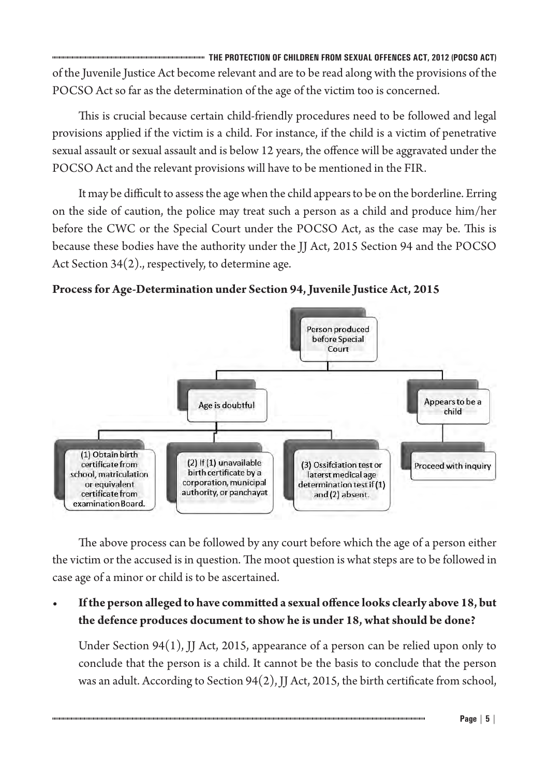**THE PROTECTION OF CHILDREN FROM SEXUAL OFFENCES ACT, 2012 (POCSO ACT)** of the Juvenile Justice Act become relevant and are to be read along with the provisions of the POCSO Act so far as the determination of the age of the victim too is concerned.

This is crucial because certain child-friendly procedures need to be followed and legal provisions applied if the victim is a child. For instance, if the child is a victim of penetrative sexual assault or sexual assault and is below 12 years, the offence will be aggravated under the POCSO Act and the relevant provisions will have to be mentioned in the FIR.

It may be difficult to assess the age when the child appears to be on the borderline. Erring on the side of caution, the police may treat such a person as a child and produce him/her before the CWC or the Special Court under the POCSO Act, as the case may be. This is because these bodies have the authority under the JJ Act, 2015 Section 94 and the POCSO Act Section 34(2)., respectively, to determine age.





The above process can be followed by any court before which the age of a person either the victim or the accused is in question. The moot question is what steps are to be followed in case age of a minor or child is to be ascertained.

# **• Ifthe person alleged to have committed a sexual offence looks clearly above 18, but the defence produces document to show he is under 18, what should be done?**

Under Section 94(1), JJ Act, 2015, appearance of a person can be relied upon only to conclude that the person is a child. It cannot be the basis to conclude that the person was an adult. According to Section 94(2), JJ Act, 2015, the birth certificate from school,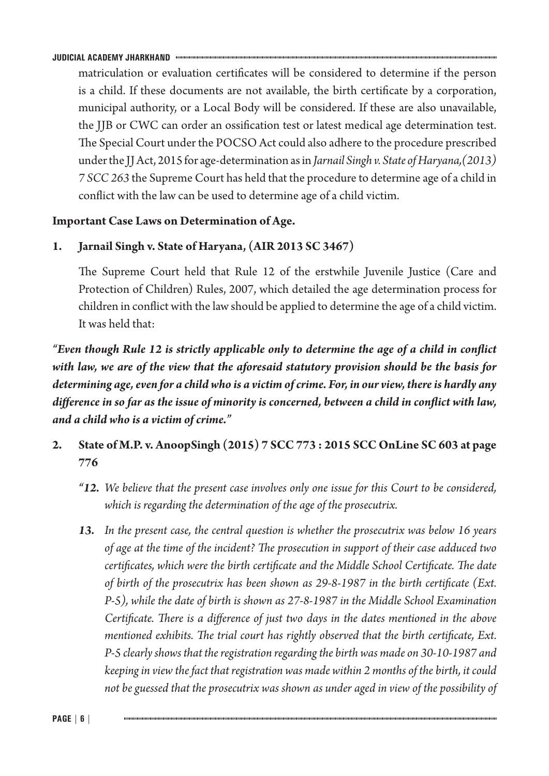matriculation or evaluation certificates will be considered to determine if the person is a child. If these documents are not available, the birth certificate by a corporation, municipal authority, or a Local Body will be considered. If these are also unavailable, the JJB or CWC can order an ossification test or latest medical age determination test. The Special Court under the POCSO Act could also adhere to the procedure prescribed under the JJ Act, 2015 for age-determination as in *Jarnail Singh v. State of Haryana,(2013) 7 SCC 263* the Supreme Court has held that the procedure to determine age of a child in conflict with the law can be used to determine age of a child victim.

## **Important Case Laws on Determination of Age.**

**1. Jarnail Singh v. State of Haryana, (AIR 2013 SC 3467)**

The Supreme Court held that Rule 12 of the erstwhile Juvenile Justice (Care and Protection of Children) Rules, 2007, which detailed the age determination process for children in conflict with the law should be applied to determine the age of a child victim. It was held that:

*"Even though Rule 12 is strictly applicable only to determine the age of a child in conflict with law, we are of the view that the aforesaid statutory provision should be the basis for determining age, even for a child who is a victim of crime. For, in our view, there is hardly any difference in so far as the issue of minority is concerned, between a child in conflict with law, and a child who is a victim of crime."*

- **2. State of M.P. v. AnoopSingh (2015) 7 SCC 773 : 2015 SCC OnLine SC 603 at page 776**
	- *"12. We believe that the present case involves only one issue for this Court to be considered, which is regarding the determination of the age of the prosecutrix.*
	- *13. In the present case, the central question is whether the prosecutrix was below 16 years of age at the time of the incident? The prosecution in support of their case adduced two certificates, which were the birth certificate and the Middle School Certificate. The date of birth of the prosecutrix has been shown as 29-8-1987 in the birth certificate (Ext. P-5), while the date of birth is shown as 27-8-1987 in the Middle School Examination Certificate. There is a difference of just two days in the dates mentioned in the above mentioned exhibits. The trial court has rightly observed that the birth certificate, Ext. P-5 clearly shows that the registration regarding the birth was made on 30-10-1987 and keeping in view the fact that registration was made within 2 months of the birth, it could not be guessed that the prosecutrix was shown as under aged in view of the possibility of*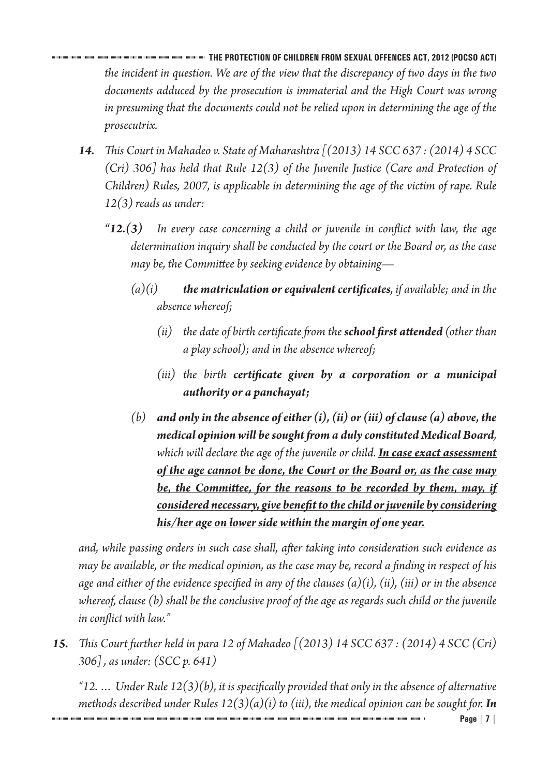**THE PROTECTION OF CHILDREN FROM SEXUAL OFFENCES ACT, 2012 (POCSO ACT)** *the incident in question. We are of the view that the discrepancy of two days in the two documents adduced by the prosecution is immaterial and the High Court was wrong in presuming that the documents could not be relied upon in determining the age of the prosecutrix.*

- *14. This Court in Mahadeo v. State of Maharashtra [(2013) 14 SCC 637 : (2014) 4 SCC (Cri) 306] has held that Rule 12(3) of the Juvenile Justice (Care and Protection of Children) Rules, 2007, is applicable in determining the age of the victim of rape. Rule 12(3) reads as under:*
	- *"12.(3) In every case concerning a child or juvenile in conflict with law, the age determination inquiry shall be conducted by the court or the Board or, as the case may be, the Committee by seeking evidence by obtaining—*
		- *(a)(i) the matriculation or equivalent certificates, if available; and in the absence whereof;*
			- *(ii) the date of birth certificate from the school first attended (other than a play school); and in the absence whereof;*
			- *(iii) the birth certificate given by a corporation or a municipal authority or a panchayat;*
		- *(b) and only in the absence of either (i), (ii) or (iii) of clause (a) above, the medical opinion will be sought from a duly constituted Medical Board, which will declare the age of the juvenile or child. In case exact assessment of the age cannot be done, the Court or the Board or, as the case may be, the Committee, for the reasons to be recorded by them, may, if considered necessary, give benefit to the child or juvenile by considering his/her age on lower side within the margin of one year.*

*and, while passing orders in such case shall, after taking into consideration such evidence as may be available, or the medical opinion, as the case may be, record a finding in respect of his age and either of the evidence specified in any of the clauses (a)(i), (ii), (iii) or in the absence whereof, clause (b) shall be the conclusive proof of the age as regards such child or the juvenile in conflict with law."*

*15. This Court further held in para 12 of Mahadeo [(2013) 14 SCC 637 : (2014) 4 SCC (Cri) 306] , as under: (SCC p. 641)*

*"12. … Under Rule 12(3)(b), it is specifically provided that only in the absence of alternative methods described under Rules*  $12(3)(a)(i)$  to (iii), the medical opinion can be sought for. **In**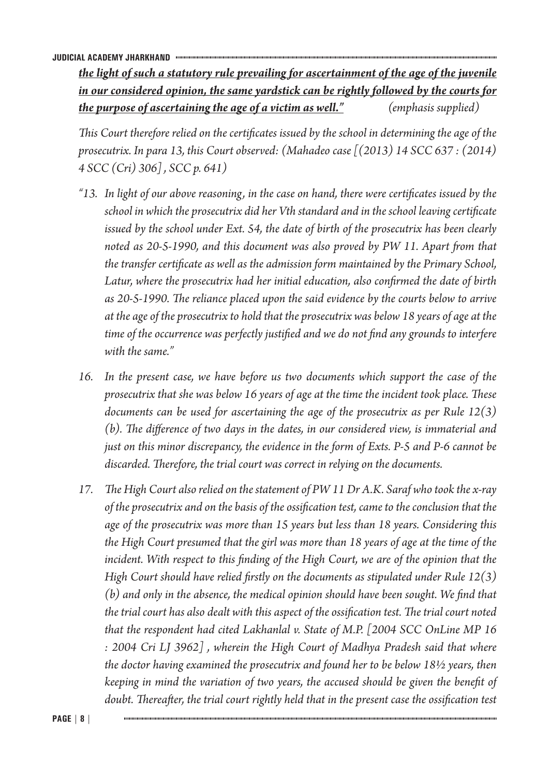*the light of such a statutory rule prevailing for ascertainment of the age of the juvenile in our considered opinion, the same yardstick can be rightly followed by the courts for the purpose of ascertaining the age of a victim as well." (emphasis supplied)*

*This Court therefore relied on the certificates issued by the school in determining the age of the prosecutrix. In para 13, this Court observed: (Mahadeo case [(2013) 14 SCC 637 : (2014) 4 SCC (Cri) 306] , SCC p. 641)*

- *"13. In light of our above reasoning, in the case on hand, there were certificates issued by the school in which the prosecutrix did her Vth standard and in the school leaving certificate issued by the school under Ext. 54, the date of birth of the prosecutrix has been clearly noted as 20-5-1990, and this document was also proved by PW 11. Apart from that the transfer certificate as well as the admission form maintained by the Primary School, Latur, where the prosecutrix had her initial education, also confirmed the date of birth as 20-5-1990. The reliance placed upon the said evidence by the courts below to arrive at the age of the prosecutrix to hold that the prosecutrix was below 18 years of age at the time of the occurrence was perfectly justified and we do not find any grounds to interfere with the same."*
- *16. In the present case, we have before us two documents which support the case of the prosecutrix that she was below 16 years of age at the time the incident took place. These documents can be used for ascertaining the age of the prosecutrix as per Rule 12(3) (b). The difference of two days in the dates, in our considered view, is immaterial and just on this minor discrepancy, the evidence in the form of Exts. P-5 and P-6 cannot be discarded. Therefore, the trial court was correct in relying on the documents.*
- *17. The High Court also relied on the statement of PW 11 Dr A.K. Saraf who took the x-ray of the prosecutrix and on the basis of the ossification test, came to the conclusion that the age of the prosecutrix was more than 15 years but less than 18 years. Considering this the High Court presumed that the girl was more than 18 years of age at the time of the incident. With respect to this finding of the High Court, we are of the opinion that the High Court should have relied firstly on the documents as stipulated under Rule 12(3) (b) and only in the absence, the medical opinion should have been sought. We find that the trial court has also dealt with this aspect of the ossification test. The trial court noted that the respondent had cited Lakhanlal v. State of M.P. [2004 SCC OnLine MP 16 : 2004 Cri LJ 3962] , wherein the High Court of Madhya Pradesh said that where the doctor having examined the prosecutrix and found her to be below 18½ years, then keeping in mind the variation of two years, the accused should be given the benefit of doubt. Thereafter, the trial court rightly held that in the present case the ossification test*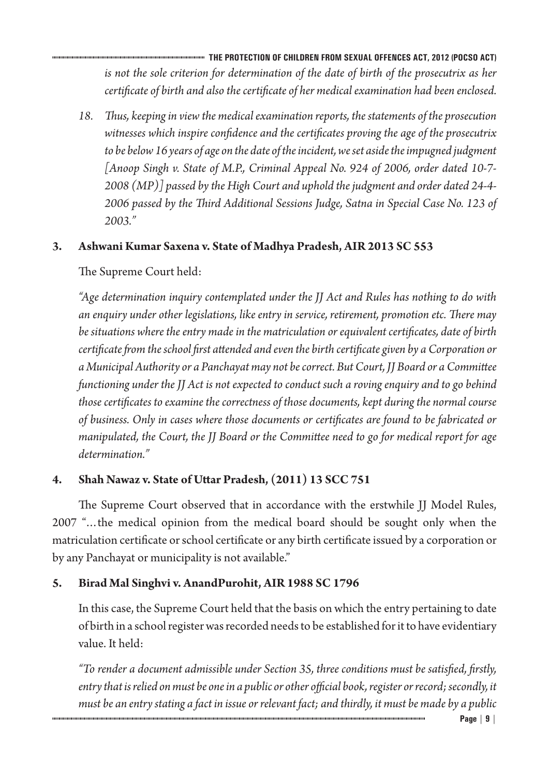**THE PROTECTION OF CHILDREN FROM SEXUAL OFFENCES ACT, 2012 (POCSO ACT)** *is not the sole criterion for determination of the date of birth of the prosecutrix as her certificate of birth and also the certificate of her medical examination had been enclosed.*

*18. Thus, keeping in view the medical examination reports, the statements of the prosecution witnesses which inspire confidence and the certificates proving the age of the prosecutrix to be below 16 years of age on the date of the incident, we set aside the impugned judgment [Anoop Singh v. State of M.P., Criminal Appeal No. 924 of 2006, order dated 10-7- 2008 (MP)] passed by the High Court and uphold the judgment and order dated 24-4- 2006 passed by the Third Additional Sessions Judge, Satna in Special Case No. 123 of 2003."*

# **3. Ashwani Kumar Saxena v. State of Madhya Pradesh, AIR 2013 SC 553**

The Supreme Court held:

*"Age determination inquiry contemplated under the JJ Act and Rules has nothing to do with an enquiry under other legislations, like entry in service, retirement, promotion etc. There may be situations where the entry made in the matriculation or equivalent certificates, date of birth certificate from the school first attended and even the birth certificate given by a Corporation or a Municipal Authority or a Panchayat may not be correct. But Court, JJ Board or a Committee functioning under the JJ Act is not expected to conduct such a roving enquiry and to go behind those certificates to examine the correctness of those documents, kept during the normal course of business. Only in cases where those documents or certificates are found to be fabricated or manipulated, the Court, the JJ Board or the Committee need to go for medical report for age determination."*

# **4. Shah Nawaz v. State of Uttar Pradesh,(2011) 13 SCC 751**

The Supreme Court observed that in accordance with the erstwhile JJ Model Rules, 2007 "…the medical opinion from the medical board should be sought only when the matriculation certificate or school certificate or any birth certificate issued by a corporation or by any Panchayat or municipality is not available."

# **5. Birad Mal Singhvi v. AnandPurohit, AIR 1988 SC 1796**

In this case, the Supreme Court held that the basis on which the entry pertaining to date of birth in a school register was recorded needs to be established for it to have evidentiary value. It held:

*"To render a document admissible under Section 35, three conditions must be satisfied, firstly, entry that is relied on must be one in a public or other official book, register or record; secondly, it must be an entry stating a fact in issue or relevant fact; and thirdly, it must be made by a public*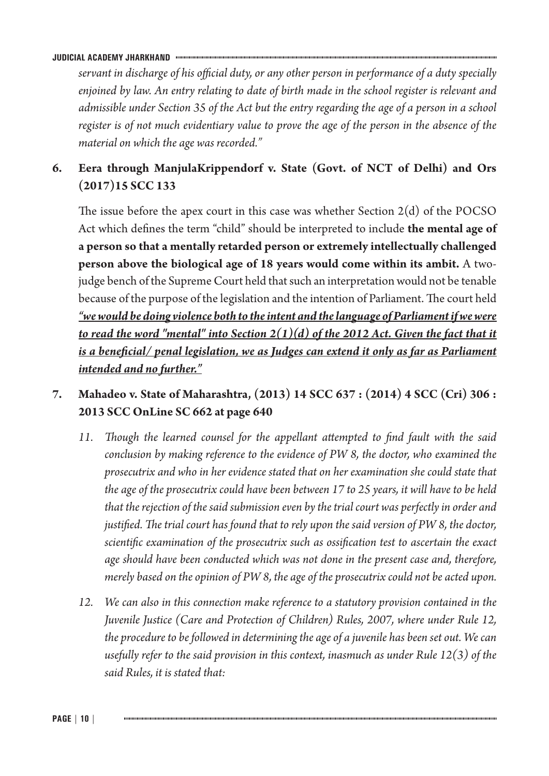*servant in discharge of his official duty, or any other person in performance of a duty specially enjoined by law. An entry relating to date of birth made in the school register is relevant and admissible under Section 35 of the Act but the entry regarding the age of a person in a school register is of not much evidentiary value to prove the age of the person in the absence of the material on which the age was recorded."*

# **6. Eera through ManjulaKrippendorf v. State (Govt. of NCT of Delhi) and Ors (2017)15 SCC 133**

The issue before the apex court in this case was whether Section  $2(d)$  of the POCSO Act which defines the term "child" should be interpreted to include **the mental age of a person so that a mentally retarded person or extremely intellectually challenged person above the biological age of 18 years would come within its ambit.** A twojudge bench of the Supreme Court held that such an interpretation would not be tenable because of the purpose of the legislation and the intention of Parliament. The court held *"we would be doing violence both to the intent and the language of Parliament if we were to read the word "mental" into Section*  $2(1)(d)$  *of the 2012 Act. Given the fact that it is a beneficial/ penal legislation, we as Judges can extend it only as far as Parliament intended and no further."*

# **7. Mahadeo v. State of Maharashtra, (2013) 14 SCC 637 : (2014) 4 SCC (Cri) 306 : 2013 SCC OnLine SC 662 at page 640**

- *11. Though the learned counsel for the appellant attempted to find fault with the said conclusion by making reference to the evidence of PW 8, the doctor, who examined the prosecutrix and who in her evidence stated that on her examination she could state that the age of the prosecutrix could have been between 17 to 25 years, it will have to be held that the rejection of the said submission even by the trial court was perfectly in order and justified. The trial court has found that to rely upon the said version of PW 8, the doctor, scientific examination of the prosecutrix such as ossification test to ascertain the exact age should have been conducted which was not done in the present case and, therefore, merely based on the opinion of PW 8, the age of the prosecutrix could not be acted upon.*
- *12. We can also in this connection make reference to a statutory provision contained in the Juvenile Justice (Care and Protection of Children) Rules, 2007, where under Rule 12, the procedure to be followed in determining the age of a juvenile has been set out. We can usefully refer to the said provision in this context, inasmuch as under Rule 12(3) of the said Rules, it is stated that:*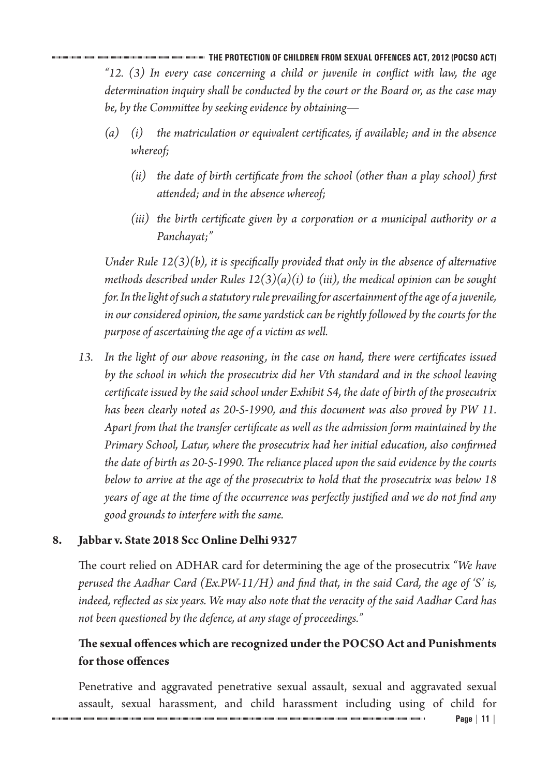**THE PROTECTION OF CHILDREN FROM SEXUAL OFFENCES ACT, 2012 (POCSO ACT)** *"12. (3) In every case concerning a child or juvenile in conflict with law, the age determination inquiry shall be conducted by the court or the Board or, as the case may be, by the Committee by seeking evidence by obtaining—*

- *(a) (i) the matriculation or equivalent certificates, if available; and in the absence whereof;*
	- *(ii) the date of birth certificate from the school (other than a play school) first attended; and in the absence whereof;*
	- *(iii) the birth certificate given by a corporation or a municipal authority or a Panchayat;"*

*Under Rule 12(3)(b), it is specifically provided that only in the absence of alternative methods described under Rules 12(3)(a)(i) to (iii), the medical opinion can be sought for. In the light of such a statutory rule prevailing for ascertainment of the age of a juvenile, in our considered opinion, the same yardstick can be rightly followed by the courts for the purpose of ascertaining the age of a victim as well.*

*13. In the light of our above reasoning, in the case on hand, there were certificates issued by the school in which the prosecutrix did her Vth standard and in the school leaving certificate issued by the said school under Exhibit 54, the date of birth of the prosecutrix has been clearly noted as 20-5-1990, and this document was also proved by PW 11. Apart from that the transfer certificate as well as the admission form maintained by the Primary School, Latur, where the prosecutrix had her initial education, also confirmed the date of birth as 20-5-1990. The reliance placed upon the said evidence by the courts below to arrive at the age of the prosecutrix to hold that the prosecutrix was below 18 years of age at the time of the occurrence was perfectly justified and we do not find any good grounds to interfere with the same.*

# **8. Jabbar v. State 2018 Scc Online Delhi 9327**

The court relied on ADHAR card for determining the age of the prosecutrix *"We have perused the Aadhar Card (Ex.PW-11/H) and find that, in the said Card, the age of 'S' is, indeed, reflected as six years. We may also note that the veracity of the said Aadhar Card has not been questioned by the defence, at any stage of proceedings."*

# **The sexual offences which are recognized underthe POCSO Act and Punishments forthose offences**

Penetrative and aggravated penetrative sexual assault, sexual and aggravated sexual assault, sexual harassment, and child harassment including using of child for

**Page | 11 |**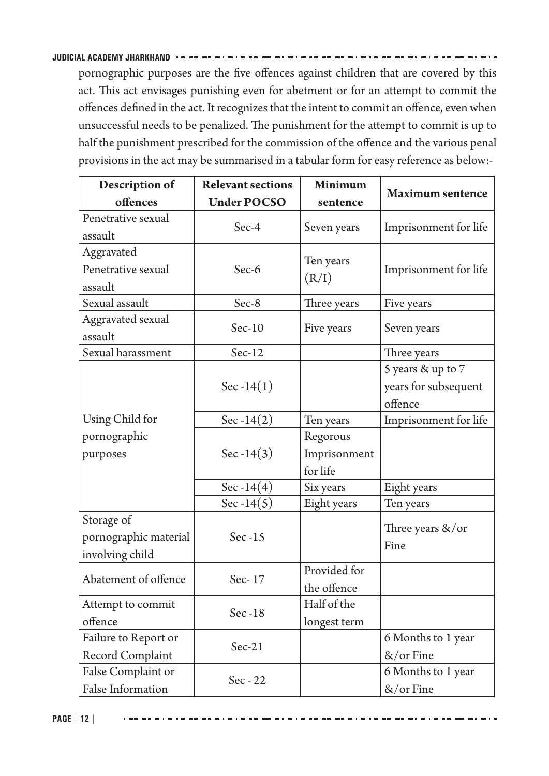pornographic purposes are the five offences against children that are covered by this act. This act envisages punishing even for abetment or for an attempt to commit the offences defined in the act. It recognizes that the intent to commit an offence, even when unsuccessful needs to be penalized. The punishment for the attempt to commit is up to half the punishment prescribed for the commission of the offence and the various penal provisions in the act may be summarised in a tabular form for easy reference as below:-

| Description of           | <b>Relevant sections</b> | <b>Minimum</b> |                         |
|--------------------------|--------------------------|----------------|-------------------------|
| offences                 | <b>Under POCSO</b>       | sentence       | <b>Maximum sentence</b> |
| Penetrative sexual       | Sec-4                    |                |                         |
| assault                  |                          | Seven years    | Imprisonment for life   |
| Aggravated               |                          |                |                         |
| Penetrative sexual       | Sec-6                    | Ten years      | Imprisonment for life   |
| assault                  |                          | (R/I)          |                         |
| Sexual assault           | Sec-8                    | Three years    | Five years              |
| <b>Aggravated sexual</b> | $Sec-10$                 | Five years     | Seven years             |
| assault                  |                          |                |                         |
| Sexual harassment        | Sec-12                   |                | Three years             |
|                          |                          |                | 5 years & up to 7       |
|                          | $Sec-14(1)$              |                | years for subsequent    |
|                          |                          |                | offence                 |
| Using Child for          | Sec -14 $(2)$            | Ten years      | Imprisonment for life   |
| pornographic             |                          | Regorous       |                         |
| purposes                 | Sec -14 $(3)$            | Imprisonment   |                         |
|                          |                          | for life       |                         |
|                          | Sec -14 $(4)$            | Six years      | Eight years             |
|                          | Sec -14 $(5)$            | Eight years    | Ten years               |
| Storage of               |                          |                | Three years &/or        |
| pornographic material    | Sec $-15$                |                | Fine                    |
| involving child          |                          |                |                         |
| Abatement of offence     | Sec-17                   | Provided for   |                         |
|                          |                          | the offence    |                         |
| Attempt to commit        | Sec -18                  | Half of the    |                         |
| offence                  |                          | longest term   |                         |
| Failure to Report or     | $Sec-21$                 |                | 6 Months to 1 year      |
| Record Complaint         |                          |                | $&\sqrt{$ or Fine       |
| False Complaint or       | $Sec - 22$               |                | 6 Months to 1 year      |
| False Information        |                          |                | $&\sqrt{$ or Fine       |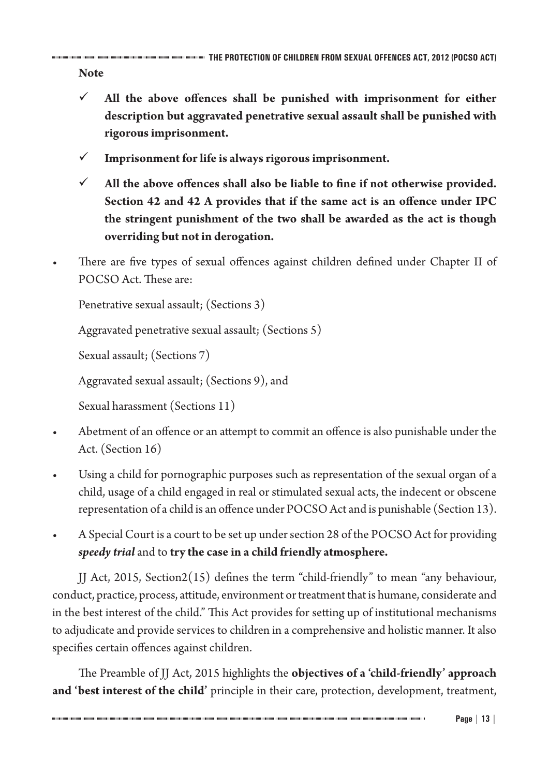**Note**

- $\checkmark$  All the above offences shall be punished with imprisonment for either **description but aggravated penetrative sexual assault shall be punished with rigorous imprisonment.**
- $\checkmark$  Imprisonment for life is always rigorous imprisonment.
- $\checkmark$  All the above offences shall also be liable to fine if not otherwise provided. **Section 42 and 42 A provides that if the same act is an offence under IPC the stringent punishment of the two shall be awarded as the act is though overriding but not in derogation.**
- There are five types of sexual offences against children defined under Chapter II of POCSO Act. These are:

Penetrative sexual assault; (Sections 3)

Aggravated penetrative sexual assault; (Sections 5)

Sexual assault; (Sections 7)

Aggravated sexual assault; (Sections 9), and

Sexual harassment (Sections 11)

- Abetment of an offence or an attempt to commit an offence is also punishable under the Act. (Section 16)
- Using a child for pornographic purposes such as representation of the sexual organ of a child, usage of a child engaged in real or stimulated sexual acts, the indecent or obscene representation of a child is an offence under POCSO Act and is punishable (Section 13).
- A Special Court is a court to be set up under section 28 of the POCSO Act for providing *speedy trial* and to **try the case in a child friendly atmosphere.**

JJ Act, 2015, Section2(15) defines the term "child-friendly" to mean "any behaviour, conduct, practice, process, attitude, environment or treatment that is humane, considerate and in the best interest of the child." This Act provides for setting up of institutional mechanisms to adjudicate and provide services to children in a comprehensive and holistic manner. It also specifies certain offences against children.

The Preamble of JJ Act, 2015 highlights the **objectives of a 'child-friendly' approach and 'best interest of the child'** principle in their care, protection, development, treatment,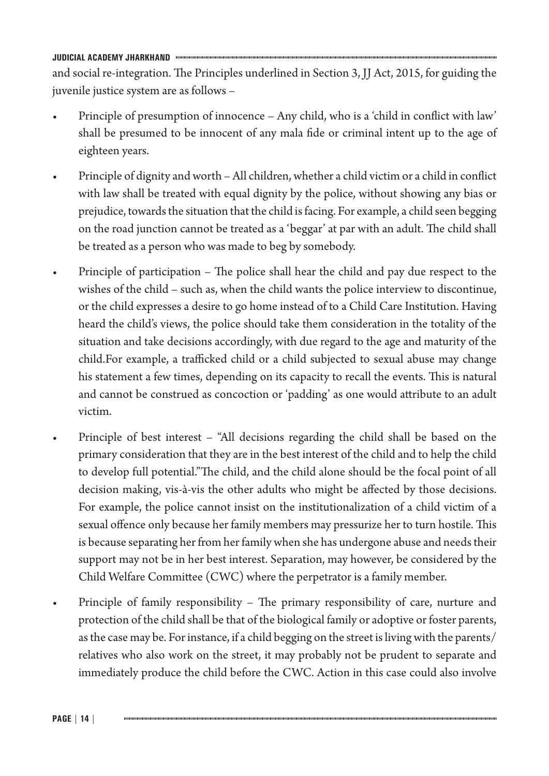and social re-integration. The Principles underlined in Section 3, JJ Act, 2015, for guiding the juvenile justice system are as follows –

- Principle of presumption of innocence Any child, who is a 'child in conflict with law' shall be presumed to be innocent of any mala fide or criminal intent up to the age of eighteen years.
- Principle of dignity and worth All children, whether a child victim or a child in conflict with law shall be treated with equal dignity by the police, without showing any bias or prejudice, towards the situation that the child is facing. For example, a child seen begging on the road junction cannot be treated as a 'beggar' at par with an adult. The child shall be treated as a person who was made to beg by somebody.
- Principle of participation The police shall hear the child and pay due respect to the wishes of the child – such as, when the child wants the police interview to discontinue, or the child expresses a desire to go home instead of to a Child Care Institution. Having heard the child's views, the police should take them consideration in the totality of the situation and take decisions accordingly, with due regard to the age and maturity of the child.For example, a trafficked child or a child subjected to sexual abuse may change his statement a few times, depending on its capacity to recall the events. This is natural and cannot be construed as concoction or 'padding' as one would attribute to an adult victim.
- Principle of best interest "All decisions regarding the child shall be based on the primary consideration that they are in the best interest of the child and to help the child to develop full potential."The child, and the child alone should be the focal point of all decision making, vis-à-vis the other adults who might be affected by those decisions. For example, the police cannot insist on the institutionalization of a child victim of a sexual offence only because her family members may pressurize her to turn hostile. This is because separating her from her family when she has undergone abuse and needs their support may not be in her best interest. Separation, may however, be considered by the Child Welfare Committee (CWC) where the perpetrator is a family member.
- Principle of family responsibility The primary responsibility of care, nurture and protection of the child shall be that of the biological family or adoptive or foster parents, as the case may be. For instance, if a child begging on the street is living with the parents/ relatives who also work on the street, it may probably not be prudent to separate and immediately produce the child before the CWC. Action in this case could also involve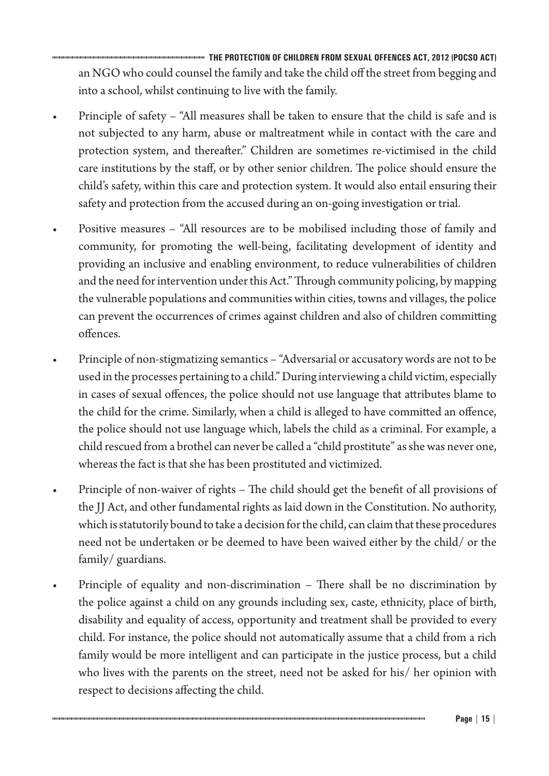**THE PROTECTION OF CHILDREN FROM SEXUAL OFFENCES ACT, 2012 (POCSO ACT)** an NGO who could counsel the family and take the child off the street from begging and into a school, whilst continuing to live with the family.

- Principle of safety "All measures shall be taken to ensure that the child is safe and is not subjected to any harm, abuse or maltreatment while in contact with the care and protection system, and thereafter." Children are sometimes re-victimised in the child care institutions by the staff, or by other senior children. The police should ensure the child's safety, within this care and protection system. It would also entail ensuring their safety and protection from the accused during an on-going investigation or trial.
- Positive measures "All resources are to be mobilised including those of family and community, for promoting the well-being, facilitating development of identity and providing an inclusive and enabling environment, to reduce vulnerabilities of children and the need for intervention under this Act." Through community policing, by mapping the vulnerable populations and communities within cities, towns and villages, the police can prevent the occurrences of crimes against children and also of children committing offences.
- Principle of non-stigmatizing semantics "Adversarial or accusatory words are not to be used in the processes pertaining to a child." During interviewing a child victim, especially in cases of sexual offences, the police should not use language that attributes blame to the child for the crime. Similarly, when a child is alleged to have committed an offence, the police should not use language which, labels the child as a criminal. For example, a child rescued from a brothel can never be called a "child prostitute" as she was never one, whereas the fact is that she has been prostituted and victimized.
- Principle of non-waiver of rights The child should get the benefit of all provisions of the JJ Act, and other fundamental rights as laid down in the Constitution. No authority, which is statutorily bound to take a decision for the child, can claim that these procedures need not be undertaken or be deemed to have been waived either by the child/ or the family/ guardians.
- Principle of equality and non-discrimination There shall be no discrimination by the police against a child on any grounds including sex, caste, ethnicity, place of birth, disability and equality of access, opportunity and treatment shall be provided to every child. For instance, the police should not automatically assume that a child from a rich family would be more intelligent and can participate in the justice process, but a child who lives with the parents on the street, need not be asked for his/ her opinion with respect to decisions affecting the child.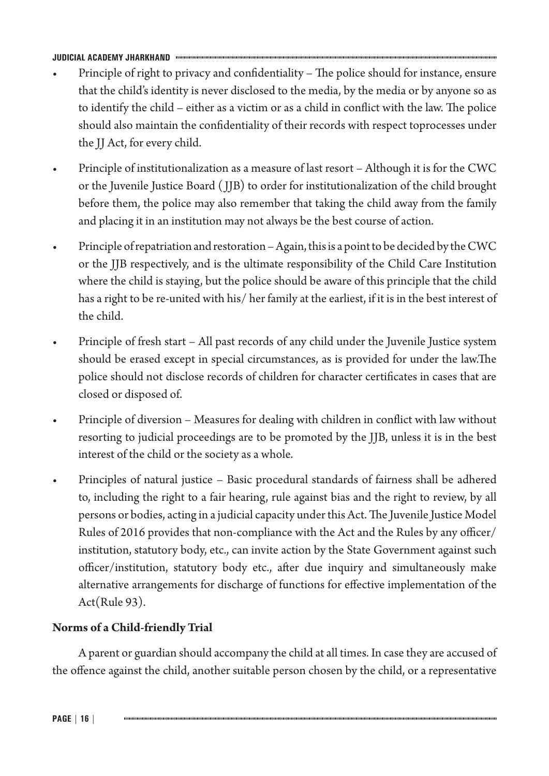- Principle of right to privacy and confidentiality The police should for instance, ensure that the child's identity is never disclosed to the media, by the media or by anyone so as to identify the child – either as a victim or as a child in conflict with the law. The police should also maintain the confidentiality of their records with respect toprocesses under the JJ Act, for every child.
- Principle of institutionalization as a measure of last resort Although it is for the CWC or the Juvenile Justice Board ( JJB) to order for institutionalization of the child brought before them, the police may also remember that taking the child away from the family and placing it in an institution may not always be the best course of action.
- Principle of repatriation and restoration Again, this is a point to be decided by the CWC or the JJB respectively, and is the ultimate responsibility of the Child Care Institution where the child is staying, but the police should be aware of this principle that the child has a right to be re-united with his/ her family at the earliest, if it is in the best interest of the child.
- Principle of fresh start All past records of any child under the Juvenile Justice system should be erased except in special circumstances, as is provided for under the law.The police should not disclose records of children for character certificates in cases that are closed or disposed of.
- Principle of diversion Measures for dealing with children in conflict with law without resorting to judicial proceedings are to be promoted by the JJB, unless it is in the best interest of the child or the society as a whole.
- Principles of natural justice Basic procedural standards of fairness shall be adhered to, including the right to a fair hearing, rule against bias and the right to review, by all persons or bodies, acting in a judicial capacity under this Act. The Juvenile Justice Model Rules of 2016 provides that non-compliance with the Act and the Rules by any officer/ institution, statutory body, etc., can invite action by the State Government against such officer/institution, statutory body etc., after due inquiry and simultaneously make alternative arrangements for discharge of functions for effective implementation of the Act(Rule 93).

# **Norms of a Child-friendly Trial**

A parent or guardian should accompany the child at all times. In case they are accused of the offence against the child, another suitable person chosen by the child, or a representative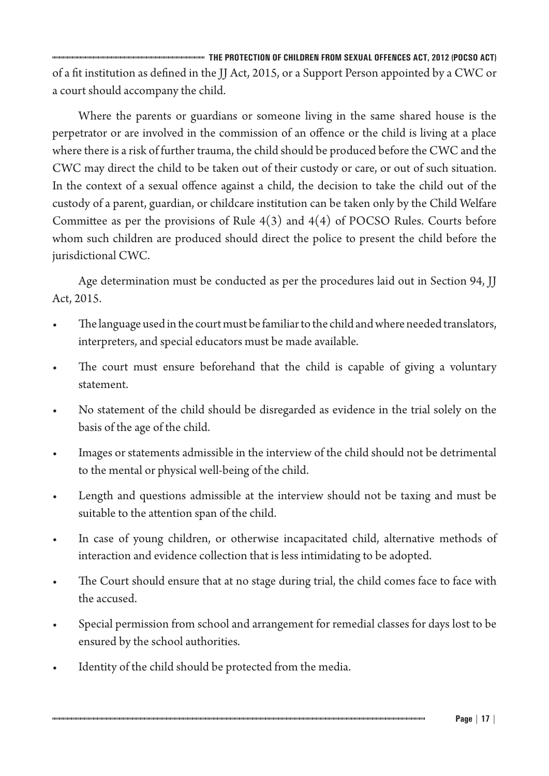**THE PROTECTION OF CHILDREN FROM SEXUAL OFFENCES ACT, 2012 (POCSO ACT)** of a fit institution as defined in the JJ Act, 2015, or a Support Person appointed by a CWC or a court should accompany the child.

Where the parents or guardians or someone living in the same shared house is the perpetrator or are involved in the commission of an offence or the child is living at a place where there is a risk of further trauma, the child should be produced before the CWC and the CWC may direct the child to be taken out of their custody or care, or out of such situation. In the context of a sexual offence against a child, the decision to take the child out of the custody of a parent, guardian, or childcare institution can be taken only by the Child Welfare Committee as per the provisions of Rule  $4(3)$  and  $4(4)$  of POCSO Rules. Courts before whom such children are produced should direct the police to present the child before the jurisdictional CWC.

Age determination must be conducted as per the procedures laid out in Section 94, JJ Act, 2015.

- The language used in the court must be familiar to the child and where needed translators, interpreters, and special educators must be made available.
- The court must ensure beforehand that the child is capable of giving a voluntary statement.
- No statement of the child should be disregarded as evidence in the trial solely on the basis of the age of the child.
- Images or statements admissible in the interview of the child should not be detrimental to the mental or physical well-being of the child.
- Length and questions admissible at the interview should not be taxing and must be suitable to the attention span of the child.
- In case of young children, or otherwise incapacitated child, alternative methods of interaction and evidence collection that is less intimidating to be adopted.
- The Court should ensure that at no stage during trial, the child comes face to face with the accused.
- Special permission from school and arrangement for remedial classes for days lost to be ensured by the school authorities.
- Identity of the child should be protected from the media.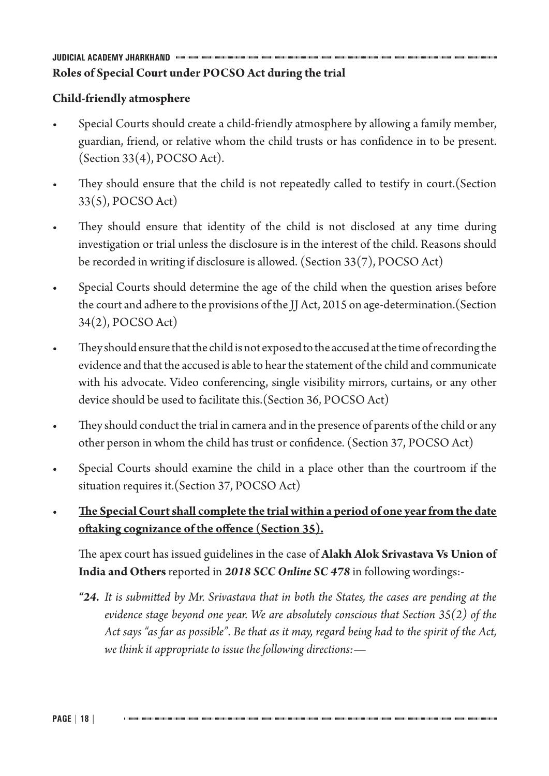# **JUDICIAL ACADEMY JHARKHAND Roles of Special Court under POCSO Act during the trial**

# **Child-friendly atmosphere**

- Special Courts should create a child-friendly atmosphere by allowing a family member, guardian, friend, or relative whom the child trusts or has confidence in to be present. (Section 33(4), POCSO Act).
- They should ensure that the child is not repeatedly called to testify in court. (Section 33(5), POCSO Act)
- They should ensure that identity of the child is not disclosed at any time during investigation or trial unless the disclosure is in the interest of the child. Reasons should be recorded in writing if disclosure is allowed. (Section 33(7), POCSO Act)
- Special Courts should determine the age of the child when the question arises before the court and adhere to the provisions of the JJ Act, 2015 on age-determination.(Section 34(2), POCSO Act)
- They should ensure that the child is not exposed to the accused at the time of recording the evidence and that the accused is able to hear the statement of the child and communicate with his advocate. Video conferencing, single visibility mirrors, curtains, or any other device should be used to facilitate this.(Section 36, POCSO Act)
- They should conduct the trial in camera and in the presence of parents of the child or any other person in whom the child has trust or confidence. (Section 37, POCSO Act)
- Special Courts should examine the child in a place other than the courtroom if the situation requires it.(Section 37, POCSO Act)
- **The Special Court shall complete the trial within a period of one year from the date oftaking cognizance of the offence (Section 35).**

The apex court has issued guidelines in the case of **Alakh Alok Srivastava Vs Union of India and Others** reported in *2018 SCC Online SC 478* in following wordings:-

*"24. It is submitted by Mr. Srivastava that in both the States, the cases are pending at the evidence stage beyond one year. We are absolutely conscious that Section 35(2) of the Act says "as far as possible". Be that as it may, regard being had to the spirit of the Act, we think it appropriate to issue the following directions:—*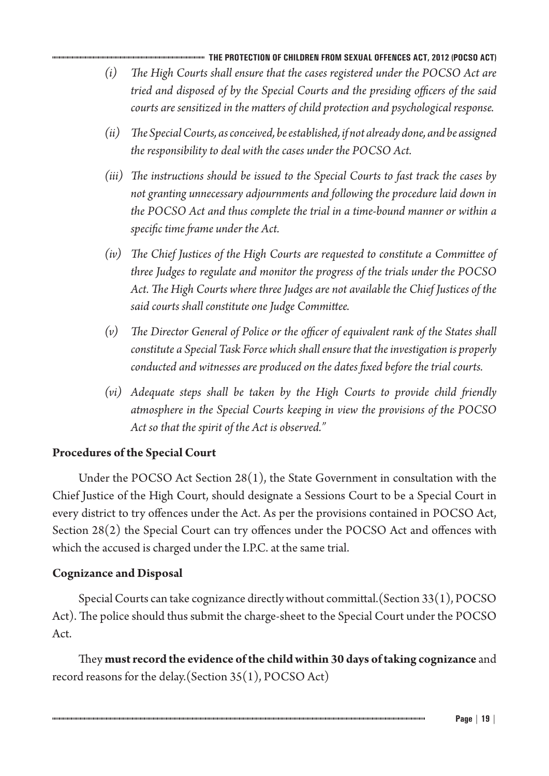#### **THE PROTECTION OF CHILDREN FROM SEXUAL OFFENCES ACT, 2012 (POCSO ACT)**

- *(i) The High Courts shall ensure that the cases registered under the POCSO Act are tried and disposed of by the Special Courts and the presiding officers of the said courts are sensitized in the matters of child protection and psychological response.*
- *(ii) The Special Courts, as conceived, be established, if not already done, and be assigned the responsibility to deal with the cases under the POCSO Act.*
- *(iii) The instructions should be issued to the Special Courts to fast track the cases by not granting unnecessary adjournments and following the procedure laid down in the POCSO Act and thus complete the trial in a time-bound manner or within a specific time frame under the Act.*
- *(iv) The Chief Justices of the High Courts are requested to constitute a Committee of three Judges to regulate and monitor the progress of the trials under the POCSO Act. The High Courts where three Judges are not available the Chief Justices of the said courts shall constitute one Judge Committee.*
- *(v) The Director General of Police or the officer of equivalent rank of the States shall constitute a Special Task Force which shall ensure that the investigation is properly conducted and witnesses are produced on the dates fixed before the trial courts.*
- *(vi) Adequate steps shall be taken by the High Courts to provide child friendly atmosphere in the Special Courts keeping in view the provisions of the POCSO Act so that the spirit of the Act is observed."*

## **Procedures of the Special Court**

Under the POCSO Act Section 28(1), the State Government in consultation with the Chief Justice of the High Court, should designate a Sessions Court to be a Special Court in every district to try offences under the Act. As per the provisions contained in POCSO Act, Section 28(2) the Special Court can try offences under the POCSO Act and offences with which the accused is charged under the I.P.C. at the same trial.

## **Cognizance and Disposal**

Special Courts can take cognizance directly without committal.(Section 33(1), POCSO Act). The police should thus submit the charge-sheet to the Special Court under the POCSO Act.

They **must record the evidence of the child within 30 days of taking cognizance** and record reasons for the delay.(Section 35(1), POCSO Act)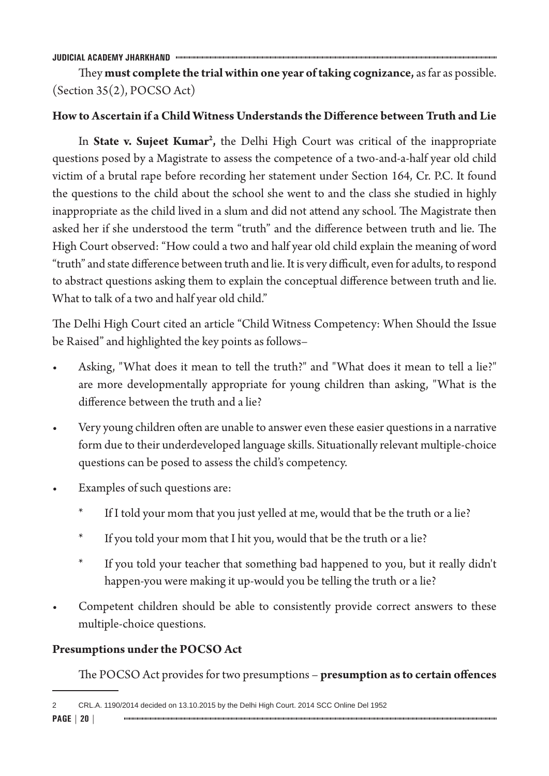They **must complete the trial within one year of taking cognizance,** as far as possible. (Section 35(2), POCSO Act)

## **How to Ascertain if a Child Witness Understandsthe Difference between Truth and Lie**

In **State v. Sujeet Kumar2 ,** the Delhi High Court was critical of the inappropriate questions posed by a Magistrate to assess the competence of a two-and-a-half year old child victim of a brutal rape before recording her statement under Section 164, Cr. P.C. It found the questions to the child about the school she went to and the class she studied in highly inappropriate as the child lived in a slum and did not attend any school. The Magistrate then asked her if she understood the term "truth" and the difference between truth and lie. The High Court observed: "How could a two and half year old child explain the meaning of word "truth" and state difference between truth and lie. It is very difficult, even for adults, to respond to abstract questions asking them to explain the conceptual difference between truth and lie. What to talk of a two and half year old child."

The Delhi High Court cited an article "Child Witness Competency: When Should the Issue be Raised" and highlighted the key points as follows–

- Asking, "What does it mean to tell the truth?" and "What does it mean to tell a lie?" are more developmentally appropriate for young children than asking, "What is the difference between the truth and a lie?
- Very young children often are unable to answer even these easier questions in a narrative form due to their underdeveloped language skills. Situationally relevant multiple-choice questions can be posed to assess the child's competency.
- Examples of such questions are:
	- If I told your mom that you just yelled at me, would that be the truth or a lie?
	- If you told your mom that I hit you, would that be the truth or a lie?
	- If you told your teacher that something bad happened to you, but it really didn't happen-you were making it up-would you be telling the truth or a lie?
- Competent children should be able to consistently provide correct answers to these multiple-choice questions.

## **Presumptions under the POCSO Act**

The POCSO Act provides for two presumptions – **presumption asto certain offences**

<sup>2</sup> CRL.A. 1190/2014 decided on 13.10.2015 by the Delhi High Court. 2014 SCC Online Del 1952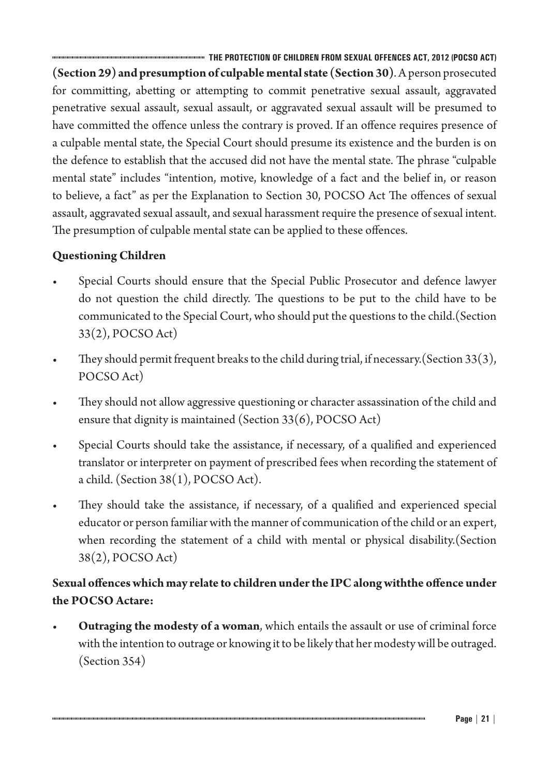**THE PROTECTION OF CHILDREN FROM SEXUAL OFFENCES ACT, 2012 (POCSO ACT) (Section 29) and presumption of culpable mental state (Section 30)**. A person prosecuted for committing, abetting or attempting to commit penetrative sexual assault, aggravated penetrative sexual assault, sexual assault, or aggravated sexual assault will be presumed to have committed the offence unless the contrary is proved. If an offence requires presence of a culpable mental state, the Special Court should presume its existence and the burden is on the defence to establish that the accused did not have the mental state. The phrase "culpable mental state" includes "intention, motive, knowledge of a fact and the belief in, or reason to believe, a fact" as per the Explanation to Section 30, POCSO Act The offences of sexual assault, aggravated sexual assault, and sexual harassment require the presence of sexual intent. The presumption of culpable mental state can be applied to these offences.

# **Questioning Children**

- Special Courts should ensure that the Special Public Prosecutor and defence lawyer do not question the child directly. The questions to be put to the child have to be communicated to the Special Court, who should put the questions to the child.(Section 33(2), POCSO Act)
- They should permit frequent breaks to the child during trial, if necessary. (Section  $33(3)$ , POCSO Act)
- They should not allow aggressive questioning or character assassination of the child and ensure that dignity is maintained (Section 33(6), POCSO Act)
- Special Courts should take the assistance, if necessary, of a qualified and experienced translator or interpreter on payment of prescribed fees when recording the statement of a child. (Section 38(1), POCSO Act).
- They should take the assistance, if necessary, of a qualified and experienced special educator or person familiar with the manner of communication of the child or an expert, when recording the statement of a child with mental or physical disability.(Section 38(2), POCSO Act)

# **Sexual offenceswhichmay relate to children underthe IPCalongwiththe offence under the POCSO Actare:**

• **Outraging the modesty of a woman**, which entails the assault or use of criminal force with the intention to outrage or knowing it to be likely that her modesty will be outraged. (Section 354)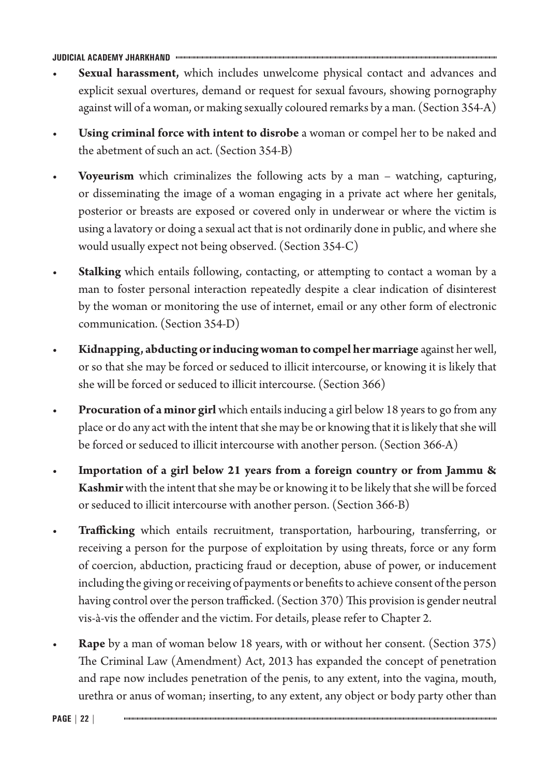- **Sexual harassment,** which includes unwelcome physical contact and advances and explicit sexual overtures, demand or request for sexual favours, showing pornography against will of a woman, or making sexually coloured remarks by a man. (Section 354-A)
- **Using criminal force with intent to disrobe** a woman or compel her to be naked and the abetment of such an act. (Section 354-B)
- **Voyeurism** which criminalizes the following acts by a man watching, capturing, or disseminating the image of a woman engaging in a private act where her genitals, posterior or breasts are exposed or covered only in underwear or where the victim is using a lavatory or doing a sexual act that is not ordinarily done in public, and where she would usually expect not being observed. (Section 354-C)
- **Stalking** which entails following, contacting, or attempting to contact a woman by a man to foster personal interaction repeatedly despite a clear indication of disinterest by the woman or monitoring the use of internet, email or any other form of electronic communication. (Section 354-D)
- **Kidnapping, abducting or inducing woman to compel her marriage** against her well, or so that she may be forced or seduced to illicit intercourse, or knowing it is likely that she will be forced or seduced to illicit intercourse. (Section 366)
- **Procuration of a minor girl** which entails inducing a girl below 18 years to go from any place or do any act with the intent that she may be or knowing that it is likely that she will be forced or seduced to illicit intercourse with another person. (Section 366-A)
- **Importation of a girl below 21 years from a foreign country or from Jammu & Kashmir** with the intent that she may be or knowing it to be likely that she will be forced or seduced to illicit intercourse with another person. (Section 366-B)
- **Trafficking** which entails recruitment, transportation, harbouring, transferring, or receiving a person for the purpose of exploitation by using threats, force or any form of coercion, abduction, practicing fraud or deception, abuse of power, or inducement including the giving or receiving of payments or benefits to achieve consent of the person having control over the person trafficked. (Section 370) This provision is gender neutral vis-à-vis the offender and the victim. For details, please refer to Chapter 2.
- **Rape** by a man of woman below 18 years, with or without her consent. (Section 375) The Criminal Law (Amendment) Act, 2013 has expanded the concept of penetration and rape now includes penetration of the penis, to any extent, into the vagina, mouth, urethra or anus of woman; inserting, to any extent, any object or body party other than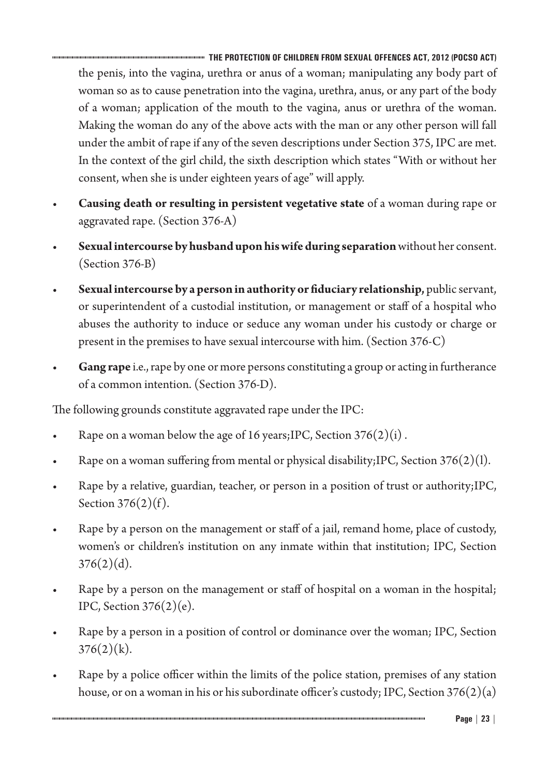**THE PROTECTION OF CHILDREN FROM SEXUAL OFFENCES ACT, 2012 (POCSO ACT)** the penis, into the vagina, urethra or anus of a woman; manipulating any body part of woman so as to cause penetration into the vagina, urethra, anus, or any part of the body of a woman; application of the mouth to the vagina, anus or urethra of the woman. Making the woman do any of the above acts with the man or any other person will fall under the ambit of rape if any of the seven descriptions under Section 375, IPC are met. In the context of the girl child, the sixth description which states "With or without her consent, when she is under eighteen years of age" will apply.

- **Causing death or resulting in persistent vegetative state** of a woman during rape or aggravated rape. (Section 376-A)
- **Sexual intercourse by husband upon hiswife during separation**without her consent. (Section 376-B)
- **Sexual intercourse by a person in authority or fiduciary relationship,** public servant, or superintendent of a custodial institution, or management or staff of a hospital who abuses the authority to induce or seduce any woman under his custody or charge or present in the premises to have sexual intercourse with him. (Section 376-C)
- **Gang rape** i.e., rape by one or more persons constituting a group or acting in furtherance of a common intention. (Section 376-D).

The following grounds constitute aggravated rape under the IPC:

- Rape on a woman below the age of 16 years; IPC, Section  $376(2)(i)$ .
- Rape on a woman suffering from mental or physical disability; IPC, Section  $376(2)(1)$ .
- Rape by a relative, guardian, teacher, or person in a position of trust or authority;IPC, Section  $376(2)(f)$ .
- Rape by a person on the management or staff of a jail, remand home, place of custody, women's or children's institution on any inmate within that institution; IPC, Section  $376(2)(d)$ .
- Rape by a person on the management or staff of hospital on a woman in the hospital; IPC, Section  $376(2)(e)$ .
- Rape by a person in a position of control or dominance over the woman; IPC, Section  $376(2)(k)$ .
- Rape by a police officer within the limits of the police station, premises of any station house, or on a woman in his or his subordinate officer's custody; IPC, Section  $376(2)(a)$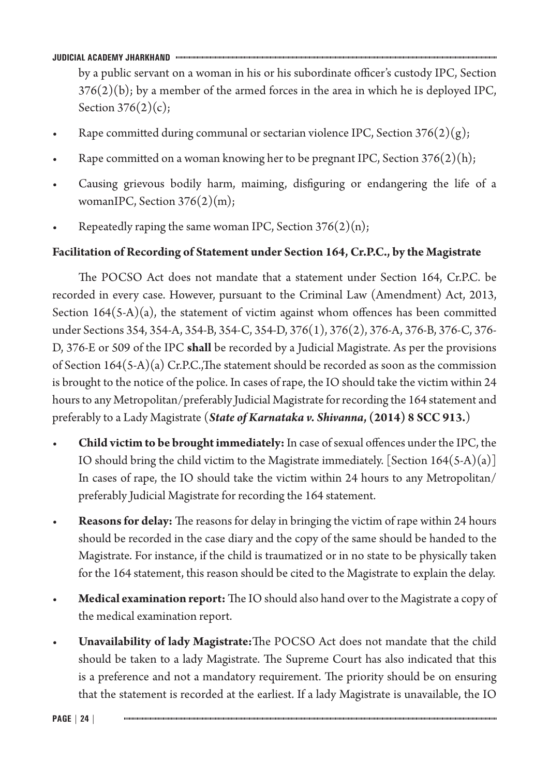by a public servant on a woman in his or his subordinate officer's custody IPC, Section  $376(2)(b)$ ; by a member of the armed forces in the area in which he is deployed IPC, Section  $376(2)(c)$ ;

- Rape committed during communal or sectarian violence IPC, Section  $376(2)(g)$ ;
- Rape committed on a woman knowing her to be pregnant IPC, Section  $376(2)(h)$ ;
- Causing grievous bodily harm, maiming, disfiguring or endangering the life of a womanIPC, Section  $376(2)(m)$ ;
- Repeatedly raping the same woman IPC, Section  $376(2)(n)$ ;

# **Facilitation of Recording of Statement under Section 164, Cr.P.C., by the Magistrate**

The POCSO Act does not mandate that a statement under Section 164, Cr.P.C. be recorded in every case. However, pursuant to the Criminal Law (Amendment) Act, 2013, Section  $164(5-A)(a)$ , the statement of victim against whom offences has been committed under Sections 354, 354-A, 354-B, 354-C, 354-D, 376(1), 376(2), 376-A, 376-B, 376-C, 376- D, 376-E or 509 of the IPC **shall** be recorded by a Judicial Magistrate. As per the provisions of Section 164(5-A)(a) Cr.P.C.,The statement should be recorded as soon as the commission is brought to the notice of the police. In cases of rape, the IO should take the victim within 24 hours to any Metropolitan/preferably Judicial Magistrate for recording the 164 statement and preferably to a Lady Magistrate (*State of Karnataka v. Shivanna***, (2014) 8 SCC 913.**)

- **Child victim to be brought immediately:** In case of sexual offences under the IPC, the IO should bring the child victim to the Magistrate immediately. [Section  $164(5-A)(a)$ ] In cases of rape, the IO should take the victim within 24 hours to any Metropolitan/ preferably Judicial Magistrate for recording the 164 statement.
- **Reasons for delay:** The reasons for delay in bringing the victim of rape within 24 hours should be recorded in the case diary and the copy of the same should be handed to the Magistrate. For instance, if the child is traumatized or in no state to be physically taken for the 164 statement, this reason should be cited to the Magistrate to explain the delay.
- **Medical examination report:**The IO should also hand over to the Magistrate a copy of the medical examination report.
- **Unavailability of lady Magistrate:**The POCSO Act does not mandate that the child should be taken to a lady Magistrate. The Supreme Court has also indicated that this is a preference and not a mandatory requirement. The priority should be on ensuring that the statement is recorded at the earliest. If a lady Magistrate is unavailable, the IO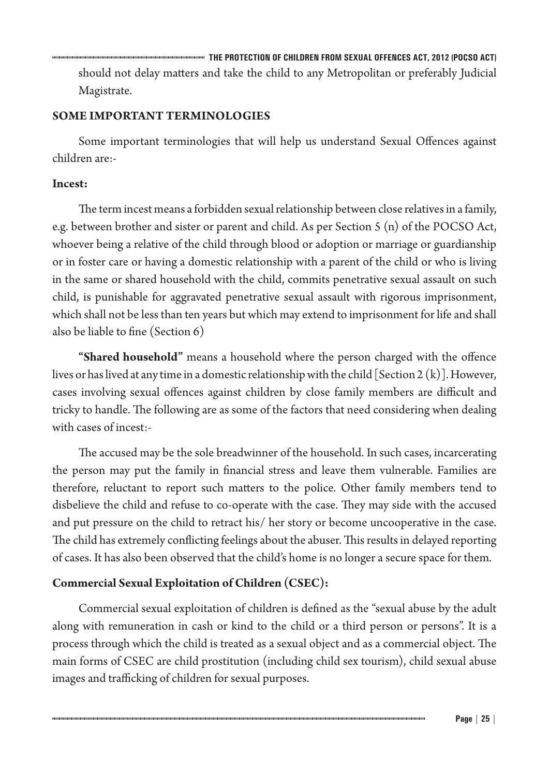**THE PROTECTION OF CHILDREN FROM SEXUAL OFFENCES ACT, 2012 (POCSO ACT)** should not delay matters and take the child to any Metropolitan or preferably Judicial Magistrate.

# **SOME IMPORTANT TERMINOLOGIES**

Some important terminologies that will help us understand Sexual Offences against children are:-

## **Incest:**

The term incest means a forbidden sexual relationship between close relatives in a family, e.g. between brother and sister or parent and child. As per Section 5 (n) of the POCSO Act, whoever being a relative of the child through blood or adoption or marriage or guardianship or in foster care or having a domestic relationship with a parent of the child or who is living in the same or shared household with the child, commits penetrative sexual assault on such child, is punishable for aggravated penetrative sexual assault with rigorous imprisonment, which shall not be less than ten years but which may extend to imprisonment for life and shall also be liable to fine (Section 6)

**"Shared household"** means a household where the person charged with the offence lives or has lived at any time in a domestic relationship with the child [Section 2  $(k)$ ]. However, cases involving sexual offences against children by close family members are difficult and tricky to handle. The following are as some of the factors that need considering when dealing with cases of incest:-

The accused may be the sole breadwinner of the household. In such cases, incarcerating the person may put the family in financial stress and leave them vulnerable. Families are therefore, reluctant to report such matters to the police. Other family members tend to disbelieve the child and refuse to co-operate with the case. They may side with the accused and put pressure on the child to retract his/ her story or become uncooperative in the case. The child has extremely conflicting feelings about the abuser. This results in delayed reporting of cases. It has also been observed that the child's home is no longer a secure space for them.

# **Commercial Sexual Exploitation of Children (CSEC):**

Commercial sexual exploitation of children is defined as the "sexual abuse by the adult along with remuneration in cash or kind to the child or a third person or persons". It is a process through which the child is treated as a sexual object and as a commercial object. The main forms of CSEC are child prostitution (including child sex tourism), child sexual abuse images and trafficking of children for sexual purposes.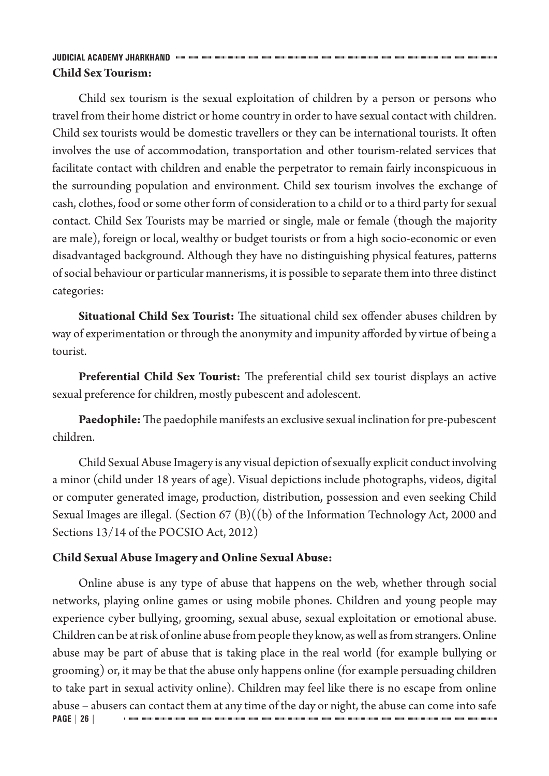# **JUDICIAL ACADEMY JHARKHAND Child Sex Tourism:**

Child sex tourism is the sexual exploitation of children by a person or persons who travel from their home district or home country in order to have sexual contact with children. Child sex tourists would be domestic travellers or they can be international tourists. It often involves the use of accommodation, transportation and other tourism-related services that facilitate contact with children and enable the perpetrator to remain fairly inconspicuous in the surrounding population and environment. Child sex tourism involves the exchange of cash, clothes, food or some other form of consideration to a child or to a third party for sexual contact. Child Sex Tourists may be married or single, male or female (though the majority are male), foreign or local, wealthy or budget tourists or from a high socio-economic or even disadvantaged background. Although they have no distinguishing physical features, patterns of social behaviour or particular mannerisms, it is possible to separate them into three distinct categories:

**Situational Child Sex Tourist:** The situational child sex offender abuses children by way of experimentation or through the anonymity and impunity afforded by virtue of being a tourist.

**Preferential Child Sex Tourist:** The preferential child sex tourist displays an active sexual preference for children, mostly pubescent and adolescent.

**Paedophile:** The paedophile manifests an exclusive sexual inclination for pre-pubescent children.

Child Sexual Abuse Imagery is any visual depiction of sexually explicit conduct involving a minor (child under 18 years of age). Visual depictions include photographs, videos, digital or computer generated image, production, distribution, possession and even seeking Child Sexual Images are illegal. (Section 67  $(B)((b)$  of the Information Technology Act, 2000 and Sections 13/14 of the POCSIO Act, 2012)

# **Child Sexual Abuse Imagery and Online Sexual Abuse:**

**PAGE | 26 |** Online abuse is any type of abuse that happens on the web, whether through social networks, playing online games or using mobile phones. Children and young people may experience cyber bullying, grooming, sexual abuse, sexual exploitation or emotional abuse. Children can be at risk of online abuse from people they know, as well as from strangers. Online abuse may be part of abuse that is taking place in the real world (for example bullying or grooming) or, it may be that the abuse only happens online (for example persuading children to take part in sexual activity online). Children may feel like there is no escape from online abuse – abusers can contact them at any time of the day or night, the abuse can come into safe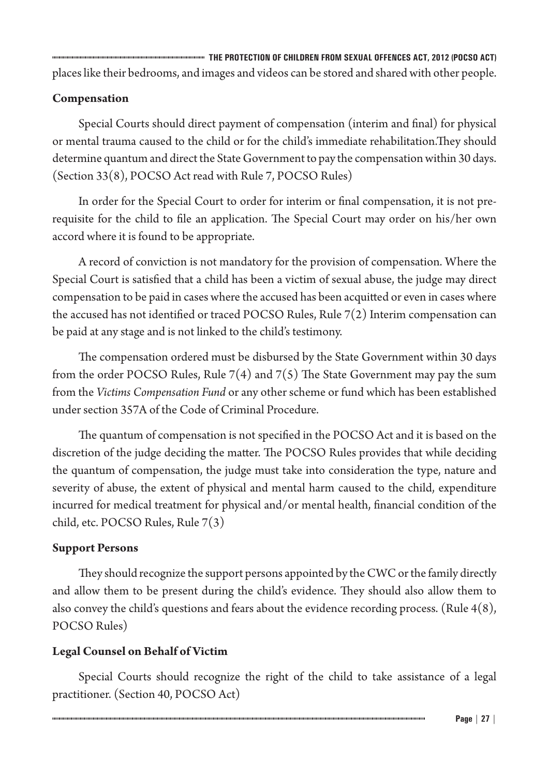**THE PROTECTION OF CHILDREN FROM SEXUAL OFFENCES ACT, 2012 (POCSO ACT)** places like their bedrooms, and images and videos can be stored and shared with other people.

# **Compensation**

Special Courts should direct payment of compensation (interim and final) for physical or mental trauma caused to the child or for the child's immediate rehabilitation.They should determine quantum and direct the State Government to pay the compensation within 30 days. (Section 33(8), POCSO Act read with Rule 7, POCSO Rules)

In order for the Special Court to order for interim or final compensation, it is not prerequisite for the child to file an application. The Special Court may order on his/her own accord where it is found to be appropriate.

A record of conviction is not mandatory for the provision of compensation. Where the Special Court is satisfied that a child has been a victim of sexual abuse, the judge may direct compensation to be paid in cases where the accused has been acquitted or even in cases where the accused has not identified or traced POCSO Rules, Rule  $7(2)$  Interim compensation can be paid at any stage and is not linked to the child's testimony.

The compensation ordered must be disbursed by the State Government within 30 days from the order POCSO Rules, Rule  $7(4)$  and  $7(5)$  The State Government may pay the sum from the *Victims Compensation Fund* or any other scheme or fund which has been established under section 357A of the Code of Criminal Procedure.

The quantum of compensation is not specified in the POCSO Act and it is based on the discretion of the judge deciding the matter. The POCSO Rules provides that while deciding the quantum of compensation, the judge must take into consideration the type, nature and severity of abuse, the extent of physical and mental harm caused to the child, expenditure incurred for medical treatment for physical and/or mental health, financial condition of the child, etc. POCSO Rules, Rule 7(3)

# **Support Persons**

They should recognize the support persons appointed by the CWC or the family directly and allow them to be present during the child's evidence. They should also allow them to also convey the child's questions and fears about the evidence recording process. (Rule 4(8), POCSO Rules)

# **Legal Counsel on Behalf of Victim**

Special Courts should recognize the right of the child to take assistance of a legal practitioner. (Section 40, POCSO Act)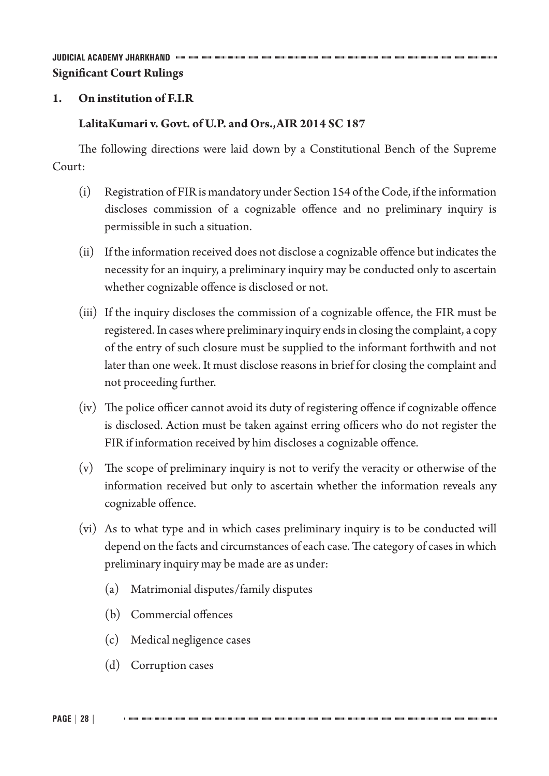# **1. On institution of F.I.R**

# **LalitaKumari v. Govt. of U.P. and Ors.,AIR 2014 SC 187**

The following directions were laid down by a Constitutional Bench of the Supreme Court:

- (i) Registration of FIR is mandatory under Section 154 of the Code, if the information discloses commission of a cognizable offence and no preliminary inquiry is permissible in such a situation.
- (ii) If the information received does not disclose a cognizable offence but indicates the necessity for an inquiry, a preliminary inquiry may be conducted only to ascertain whether cognizable offence is disclosed or not.
- (iii) If the inquiry discloses the commission of a cognizable offence, the FIR must be registered. In cases where preliminary inquiry ends in closing the complaint, a copy of the entry of such closure must be supplied to the informant forthwith and not later than one week. It must disclose reasons in brief for closing the complaint and not proceeding further.
- (iv) The police officer cannot avoid its duty of registering offence if cognizable offence is disclosed. Action must be taken against erring officers who do not register the FIR if information received by him discloses a cognizable offence.
- (v) The scope of preliminary inquiry is not to verify the veracity or otherwise of the information received but only to ascertain whether the information reveals any cognizable offence.
- (vi) As to what type and in which cases preliminary inquiry is to be conducted will depend on the facts and circumstances of each case. The category of cases in which preliminary inquiry may be made are as under:
	- (a) Matrimonial disputes/family disputes
	- (b) Commercial offences
	- (c) Medical negligence cases
	- (d) Corruption cases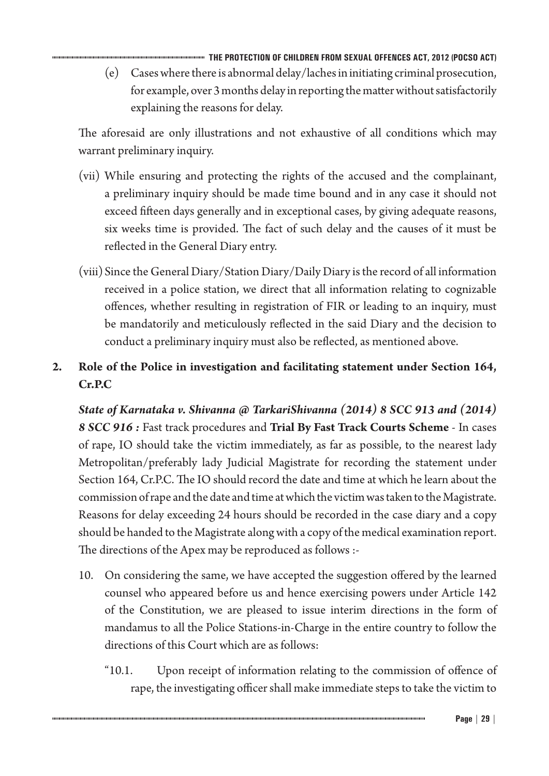**THE PROTECTION OF CHILDREN FROM SEXUAL OFFENCES ACT, 2012 (POCSO ACT)** (e) Cases where there is abnormal delay/laches in initiating criminal prosecution, for example, over 3 months delay in reporting the matter without satisfactorily explaining the reasons for delay.

The aforesaid are only illustrations and not exhaustive of all conditions which may warrant preliminary inquiry.

- (vii) While ensuring and protecting the rights of the accused and the complainant, a preliminary inquiry should be made time bound and in any case it should not exceed fifteen days generally and in exceptional cases, by giving adequate reasons, six weeks time is provided. The fact of such delay and the causes of it must be reflected in the General Diary entry.
- (viii)Since the General Diary/Station Diary/Daily Diary is the record of all information received in a police station, we direct that all information relating to cognizable offences, whether resulting in registration of FIR or leading to an inquiry, must be mandatorily and meticulously reflected in the said Diary and the decision to conduct a preliminary inquiry must also be reflected, as mentioned above.
- **2. Role of the Police in investigation and facilitating statement under Section 164, Cr.P.C**

*State of Karnataka v. Shivanna @ TarkariShivanna (2014) 8 SCC 913 and (2014) 8 SCC 916 :* Fast track procedures and **Trial By Fast Track Courts Scheme** - In cases of rape, IO should take the victim immediately, as far as possible, to the nearest lady Metropolitan/preferably lady Judicial Magistrate for recording the statement under Section 164, Cr.P.C. The IO should record the date and time at which he learn about the commission of rape and the date and time at which the victim was taken to the Magistrate. Reasons for delay exceeding 24 hours should be recorded in the case diary and a copy should be handed to the Magistrate along with a copy of the medical examination report. The directions of the Apex may be reproduced as follows :-

- 10. On considering the same, we have accepted the suggestion offered by the learned counsel who appeared before us and hence exercising powers under Article 142 of the Constitution, we are pleased to issue interim directions in the form of mandamus to all the Police Stations-in-Charge in the entire country to follow the directions of this Court which are as follows:
	- "10.1. Upon receipt of information relating to the commission of offence of rape, the investigating officer shall make immediate steps to take the victim to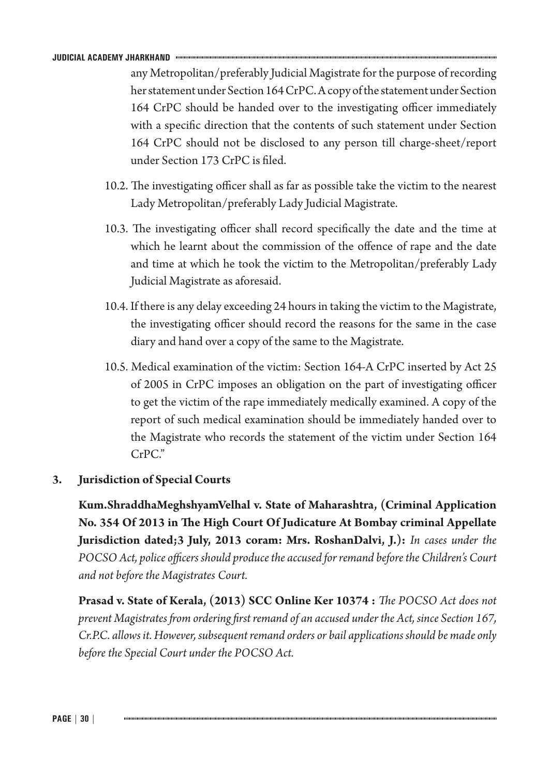any Metropolitan/preferably Judicial Magistrate for the purpose of recording her statement under Section 164 CrPC. A copy of the statement under Section 164 CrPC should be handed over to the investigating officer immediately with a specific direction that the contents of such statement under Section 164 CrPC should not be disclosed to any person till charge-sheet/report under Section 173 CrPC is filed.

- 10.2. The investigating officer shall as far as possible take the victim to the nearest Lady Metropolitan/preferably Lady Judicial Magistrate.
- 10.3. The investigating officer shall record specifically the date and the time at which he learnt about the commission of the offence of rape and the date and time at which he took the victim to the Metropolitan/preferably Lady Judicial Magistrate as aforesaid.
- 10.4. If there is any delay exceeding 24 hours in taking the victim to the Magistrate, the investigating officer should record the reasons for the same in the case diary and hand over a copy of the same to the Magistrate.
- 10.5. Medical examination of the victim: Section 164-A CrPC inserted by Act 25 of 2005 in CrPC imposes an obligation on the part of investigating officer to get the victim of the rape immediately medically examined. A copy of the report of such medical examination should be immediately handed over to the Magistrate who records the statement of the victim under Section 164 CrPC."

## **3. Jurisdiction of Special Courts**

**Kum.ShraddhaMeghshyamVelhal v. State of Maharashtra, (Criminal Application No. 354 Of 2013 in The High Court Of Judicature At Bombay criminal Appellate Jurisdiction dated;3 July, 2013 coram: Mrs. RoshanDalvi, J.):** *In cases under the POCSO Act, police officers should produce the accused for remand before the Children's Court and not before the Magistrates Court.* 

**Prasad v. State of Kerala, (2013) SCC Online Ker 10374 :** *The POCSO Act does not prevent Magistrates from ordering first remand of an accused under the Act, since Section 167, Cr.P.C. allows it. However, subsequent remand orders or bail applications should be made only before the Special Court under the POCSO Act.*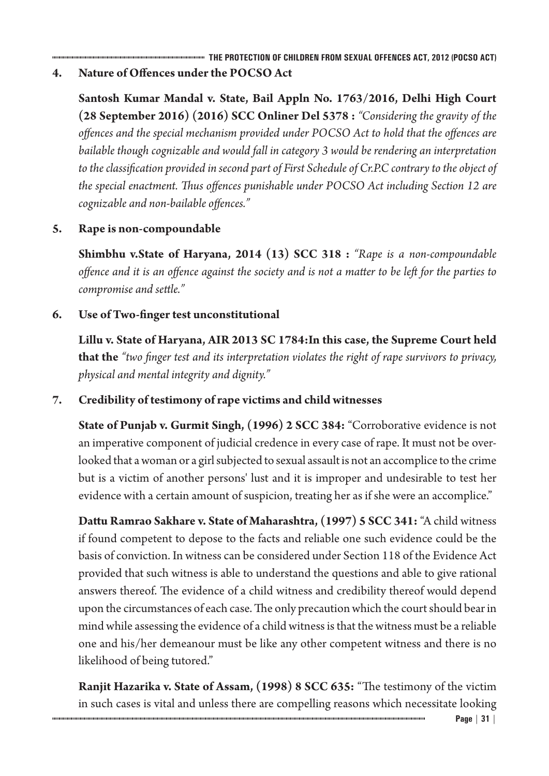**THE PROTECTION OF CHILDREN FROM SEXUAL OFFENCES ACT, 2012 (POCSO ACT)**

**4. Nature of Offences underthe POCSO Act**

**Santosh Kumar Mandal v. State, Bail Appln No. 1763/2016, Delhi High Court (28 September 2016) (2016) SCC Onliner Del 5378 :** *"Considering the gravity of the offences and the special mechanism provided under POCSO Act to hold that the offences are bailable though cognizable and would fall in category 3 would be rendering an interpretation to the classification provided in second part of First Schedule of Cr.P.C contrary to the object of the special enactment. Thus offences punishable under POCSO Act including Section 12 are cognizable and non-bailable offences."*

# **5. Rape is non-compoundable**

**Shimbhu v.State of Haryana, 2014 (13) SCC 318 :** *"Rape is a non-compoundable offence and it is an offence against the society and is not a matter to be left for the parties to compromise and settle."*

# **6. Use of Two-finger test unconstitutional**

**Lillu v. State of Haryana, AIR 2013 SC 1784:In this case, the Supreme Court held that the** *"two finger test and its interpretation violates the right of rape survivors to privacy, physical and mental integrity and dignity."*

# **7. Credibility of testimony of rape victims and child witnesses**

**State of Punjab v. Gurmit Singh, (1996) 2 SCC 384:** "Corroborative evidence is not an imperative component of judicial credence in every case of rape. It must not be overlooked that a woman or a girl subjected to sexual assault is not an accomplice to the crime but is a victim of another persons' lust and it is improper and undesirable to test her evidence with a certain amount of suspicion, treating her as if she were an accomplice."

**Dattu Ramrao Sakhare v. State of Maharashtra,(1997) 5 SCC 341:** "A child witness if found competent to depose to the facts and reliable one such evidence could be the basis of conviction. In witness can be considered under Section 118 of the Evidence Act provided that such witness is able to understand the questions and able to give rational answers thereof. The evidence of a child witness and credibility thereof would depend upon the circumstances of each case. The only precaution which the court should bear in mind while assessing the evidence of a child witness is that the witness must be a reliable one and his/her demeanour must be like any other competent witness and there is no likelihood of being tutored."

**Ranjit Hazarika v. State of Assam, (1998) 8 SCC 635:** "The testimony of the victim in such cases is vital and unless there are compelling reasons which necessitate looking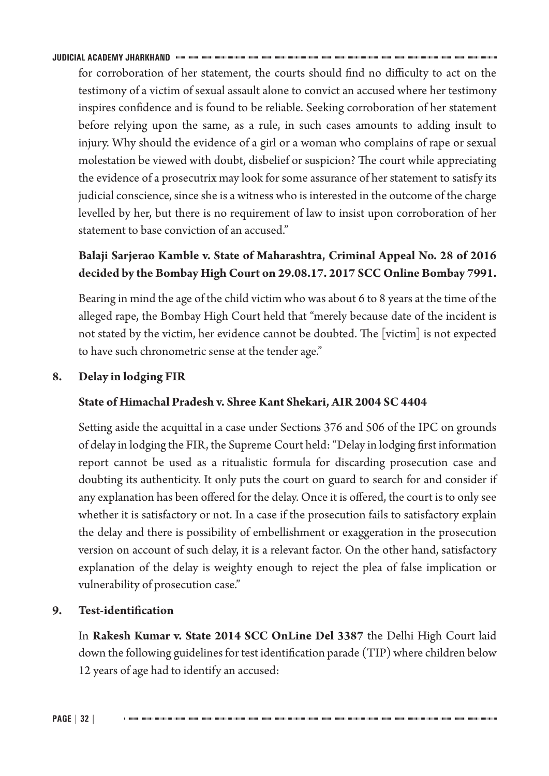for corroboration of her statement, the courts should find no difficulty to act on the testimony of a victim of sexual assault alone to convict an accused where her testimony inspires confidence and is found to be reliable. Seeking corroboration of her statement before relying upon the same, as a rule, in such cases amounts to adding insult to injury. Why should the evidence of a girl or a woman who complains of rape or sexual molestation be viewed with doubt, disbelief or suspicion? The court while appreciating the evidence of a prosecutrix may look for some assurance of her statement to satisfy its judicial conscience, since she is a witness who is interested in the outcome of the charge levelled by her, but there is no requirement of law to insist upon corroboration of her statement to base conviction of an accused."

# **Balaji Sarjerao Kamble v. State of Maharashtra, Criminal Appeal No. 28 of 2016 decided by the Bombay High Court on 29.08.17. 2017 SCC Online Bombay 7991.**

Bearing in mind the age of the child victim who was about 6 to 8 years at the time of the alleged rape, the Bombay High Court held that "merely because date of the incident is not stated by the victim, her evidence cannot be doubted. The [victim] is not expected to have such chronometric sense at the tender age."

# **8. Delay in lodging FIR**

## **State of Himachal Pradesh v. Shree Kant Shekari, AIR 2004 SC 4404**

Setting aside the acquittal in a case under Sections 376 and 506 of the IPC on grounds of delay in lodging the FIR, the Supreme Court held: "Delay in lodging first information report cannot be used as a ritualistic formula for discarding prosecution case and doubting its authenticity. It only puts the court on guard to search for and consider if any explanation has been offered for the delay. Once it is offered, the court is to only see whether it is satisfactory or not. In a case if the prosecution fails to satisfactory explain the delay and there is possibility of embellishment or exaggeration in the prosecution version on account of such delay, it is a relevant factor. On the other hand, satisfactory explanation of the delay is weighty enough to reject the plea of false implication or vulnerability of prosecution case."

# **9. Test-identification**

In **Rakesh Kumar v. State 2014 SCC OnLine Del 3387** the Delhi High Court laid down the following guidelines for test identification parade (TIP) where children below 12 years of age had to identify an accused: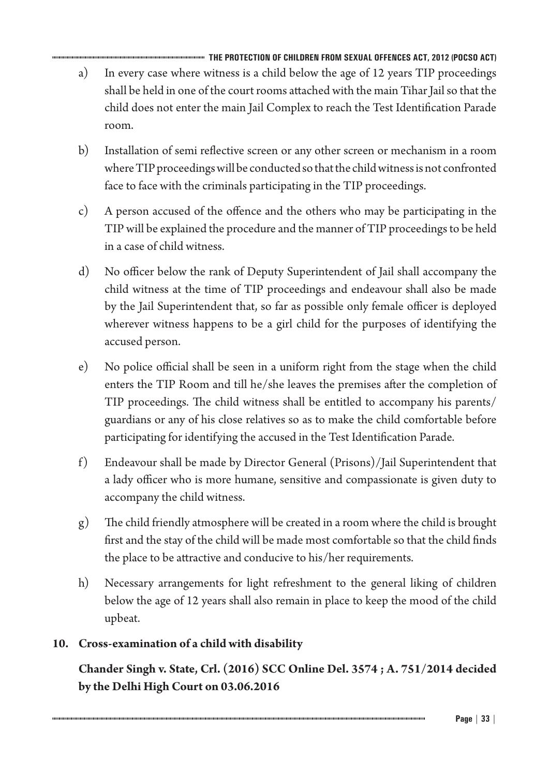**THE PROTECTION OF CHILDREN FROM SEXUAL OFFENCES ACT, 2012 (POCSO ACT)** a) In every case where witness is a child below the age of 12 years TIP proceedings shall be held in one of the court rooms attached with the main Tihar Jail so that the child does not enter the main Jail Complex to reach the Test Identification Parade room.

- b) Installation of semi reflective screen or any other screen or mechanism in a room where TIP proceedings will be conducted so that the child witness is not confronted face to face with the criminals participating in the TIP proceedings.
- c) A person accused of the offence and the others who may be participating in the TIP will be explained the procedure and the manner of TIP proceedings to be held in a case of child witness.
- d) No officer below the rank of Deputy Superintendent of Jail shall accompany the child witness at the time of TIP proceedings and endeavour shall also be made by the Jail Superintendent that, so far as possible only female officer is deployed wherever witness happens to be a girl child for the purposes of identifying the accused person.
- e) No police official shall be seen in a uniform right from the stage when the child enters the TIP Room and till he/she leaves the premises after the completion of TIP proceedings. The child witness shall be entitled to accompany his parents/ guardians or any of his close relatives so as to make the child comfortable before participating for identifying the accused in the Test Identification Parade.
- f) Endeavour shall be made by Director General (Prisons)/Jail Superintendent that a lady officer who is more humane, sensitive and compassionate is given duty to accompany the child witness.
- g) The child friendly atmosphere will be created in a room where the child is brought first and the stay of the child will be made most comfortable so that the child finds the place to be attractive and conducive to his/her requirements.
- h) Necessary arrangements for light refreshment to the general liking of children below the age of 12 years shall also remain in place to keep the mood of the child upbeat.

# **10. Cross-examination of a child with disability**

**Chander Singh v. State, Crl. (2016) SCC Online Del. 3574 ; A. 751/2014 decided by the Delhi High Court on 03.06.2016**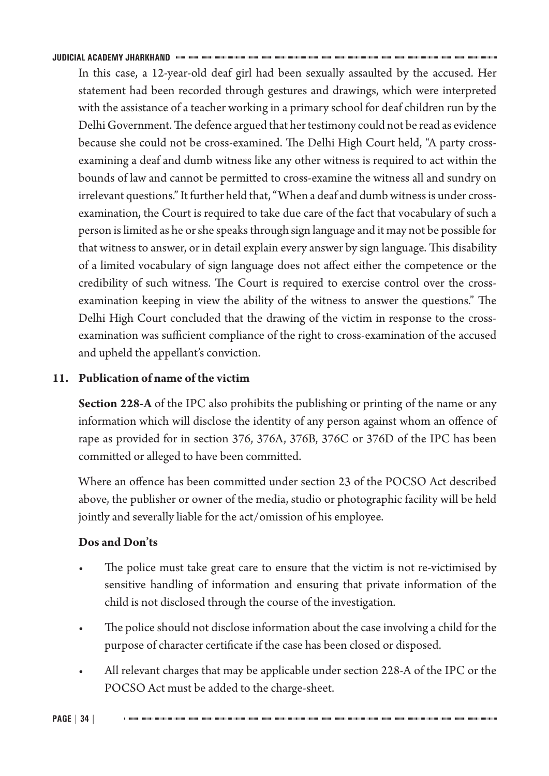In this case, a 12-year-old deaf girl had been sexually assaulted by the accused. Her statement had been recorded through gestures and drawings, which were interpreted with the assistance of a teacher working in a primary school for deaf children run by the Delhi Government. The defence argued that her testimony could not be read as evidence because she could not be cross-examined. The Delhi High Court held, "A party crossexamining a deaf and dumb witness like any other witness is required to act within the bounds of law and cannot be permitted to cross-examine the witness all and sundry on irrelevant questions." It further held that, "When a deaf and dumb witness is under crossexamination, the Court is required to take due care of the fact that vocabulary of such a person is limited as he or she speaks through sign language and it may not be possible for that witness to answer, or in detail explain every answer by sign language. This disability of a limited vocabulary of sign language does not affect either the competence or the credibility of such witness. The Court is required to exercise control over the crossexamination keeping in view the ability of the witness to answer the questions." The Delhi High Court concluded that the drawing of the victim in response to the crossexamination was sufficient compliance of the right to cross-examination of the accused and upheld the appellant's conviction.

# **11. Publication of name of the victim**

**Section 228-A** of the IPC also prohibits the publishing or printing of the name or any information which will disclose the identity of any person against whom an offence of rape as provided for in section 376, 376A, 376B, 376C or 376D of the IPC has been committed or alleged to have been committed.

Where an offence has been committed under section 23 of the POCSO Act described above, the publisher or owner of the media, studio or photographic facility will be held jointly and severally liable for the act/omission of his employee.

# **Dos and Don'ts**

- The police must take great care to ensure that the victim is not re-victimised by sensitive handling of information and ensuring that private information of the child is not disclosed through the course of the investigation.
- The police should not disclose information about the case involving a child for the purpose of character certificate if the case has been closed or disposed.
- All relevant charges that may be applicable under section 228-A of the IPC or the POCSO Act must be added to the charge-sheet.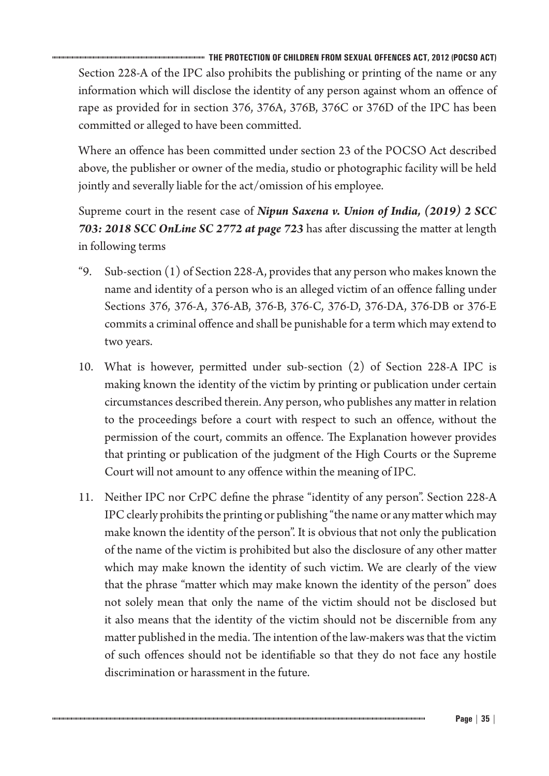**THE PROTECTION OF CHILDREN FROM SEXUAL OFFENCES ACT, 2012 (POCSO ACT)** Section 228-A of the IPC also prohibits the publishing or printing of the name or any information which will disclose the identity of any person against whom an offence of rape as provided for in section 376, 376A, 376B, 376C or 376D of the IPC has been committed or alleged to have been committed.

Where an offence has been committed under section 23 of the POCSO Act described above, the publisher or owner of the media, studio or photographic facility will be held jointly and severally liable for the act/omission of his employee.

Supreme court in the resent case of *Nipun Saxena v. Union of India, (2019) 2 SCC 703: 2018 SCC OnLine SC 2772 at page 723* has after discussing the matter at length in following terms

- "9. Sub-section  $(1)$  of Section 228-A, provides that any person who makes known the name and identity of a person who is an alleged victim of an offence falling under Sections 376, 376-A, 376-AB, 376-B, 376-C, 376-D, 376-DA, 376-DB or 376-E commits a criminal offence and shall be punishable for a term which may extend to two years.
- 10. What is however, permitted under sub-section (2) of Section 228-A IPC is making known the identity of the victim by printing or publication under certain circumstances described therein. Any person, who publishes any matter in relation to the proceedings before a court with respect to such an offence, without the permission of the court, commits an offence. The Explanation however provides that printing or publication of the judgment of the High Courts or the Supreme Court will not amount to any offence within the meaning of IPC.
- 11. Neither IPC nor CrPC define the phrase "identity of any person". Section 228-A IPC clearly prohibits the printing or publishing "the name or any matter which may make known the identity of the person". It is obvious that not only the publication of the name of the victim is prohibited but also the disclosure of any other matter which may make known the identity of such victim. We are clearly of the view that the phrase "matter which may make known the identity of the person" does not solely mean that only the name of the victim should not be disclosed but it also means that the identity of the victim should not be discernible from any matter published in the media. The intention of the law-makers was that the victim of such offences should not be identifiable so that they do not face any hostile discrimination or harassment in the future.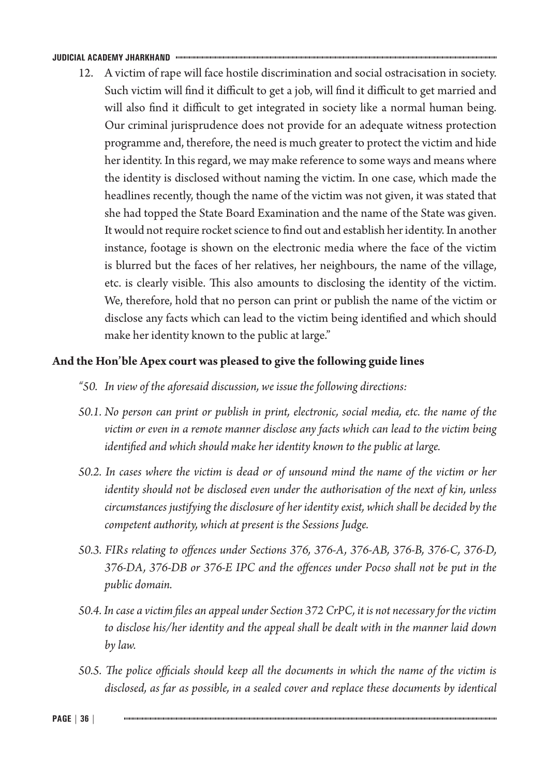12. A victim of rape will face hostile discrimination and social ostracisation in society. Such victim will find it difficult to get a job, will find it difficult to get married and will also find it difficult to get integrated in society like a normal human being. Our criminal jurisprudence does not provide for an adequate witness protection programme and, therefore, the need is much greater to protect the victim and hide her identity. In this regard, we may make reference to some ways and means where the identity is disclosed without naming the victim. In one case, which made the headlines recently, though the name of the victim was not given, it was stated that she had topped the State Board Examination and the name of the State was given. It would not require rocket science to find out and establish her identity. In another instance, footage is shown on the electronic media where the face of the victim is blurred but the faces of her relatives, her neighbours, the name of the village, etc. is clearly visible. This also amounts to disclosing the identity of the victim. We, therefore, hold that no person can print or publish the name of the victim or disclose any facts which can lead to the victim being identified and which should make her identity known to the public at large."

### **And the Hon'ble Apex court was pleased to give the following guide lines**

- *"50. In view of the aforesaid discussion, we issue the following directions:*
- *50.1. No person can print or publish in print, electronic, social media, etc. the name of the victim or even in a remote manner disclose any facts which can lead to the victim being identified and which should make her identity known to the public at large.*
- *50.2. In cases where the victim is dead or of unsound mind the name of the victim or her identity should not be disclosed even under the authorisation of the next of kin, unless circumstances justifying the disclosure of her identity exist, which shall be decided by the competent authority, which at present is the Sessions Judge.*
- *50.3. FIRs relating to offences under Sections 376, 376-A, 376-AB, 376-B, 376-C, 376-D, 376-DA, 376-DB or 376-E IPC and the offences under Pocso shall not be put in the public domain.*
- *50.4. In case a victim files an appeal under Section 372 CrPC, it is not necessary for the victim to disclose his/her identity and the appeal shall be dealt with in the manner laid down by law.*
- *50.5. The police officials should keep all the documents in which the name of the victim is disclosed, as far as possible, in a sealed cover and replace these documents by identical*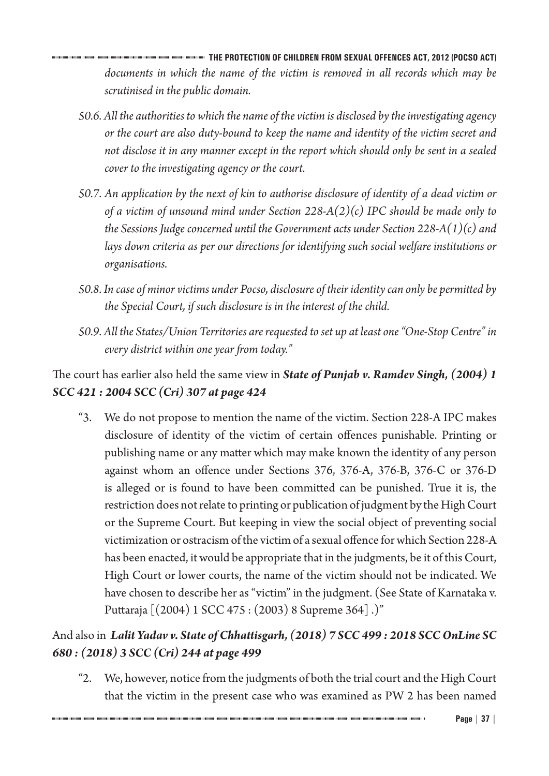**THE PROTECTION OF CHILDREN FROM SEXUAL OFFENCES ACT, 2012 (POCSO ACT)** *documents in which the name of the victim is removed in all records which may be scrutinised in the public domain.*

- *50.6. All the authorities to which the name of the victim is disclosed by the investigating agency or the court are also duty-bound to keep the name and identity of the victim secret and not disclose it in any manner except in the report which should only be sent in a sealed cover to the investigating agency or the court.*
- *50.7. An application by the next of kin to authorise disclosure of identity of a dead victim or of a victim of unsound mind under Section 228-A(2)(c) IPC should be made only to the Sessions Judge concerned until the Government acts under Section 228-A(1)(c) and lays down criteria as per our directions for identifying such social welfare institutions or organisations.*
- *50.8. In case of minor victims under Pocso, disclosure of their identity can only be permitted by the Special Court, if such disclosure is in the interest of the child.*
- *50.9. All the States/Union Territories are requested to set up at least one "One-Stop Centre" in every district within one year from today."*

# The court has earlier also held the same view in *State of Punjab v. Ramdev Singh, (2004) 1 SCC 421 : 2004 SCC (Cri) 307 at page 424*

"3. We do not propose to mention the name of the victim. Section 228-A IPC makes disclosure of identity of the victim of certain offences punishable. Printing or publishing name or any matter which may make known the identity of any person against whom an offence under Sections 376, 376-A, 376-B, 376-C or 376-D is alleged or is found to have been committed can be punished. True it is, the restriction does not relate to printing or publication of judgment by the High Court or the Supreme Court. But keeping in view the social object of preventing social victimization or ostracism of the victim of a sexual offence for which Section 228-A has been enacted, it would be appropriate that in the judgments, be it of this Court, High Court or lower courts, the name of the victim should not be indicated. We have chosen to describe her as "victim" in the judgment. (See State of Karnataka v. Puttaraja [(2004) 1 SCC 475 : (2003) 8 Supreme 364] .)"

# And also in *Lalit Yadav v. State of Chhattisgarh, (2018) 7 SCC 499 : 2018 SCC OnLine SC 680 : (2018) 3 SCC (Cri) 244 at page 499*

"2. We, however, notice from the judgments of both the trial court and the High Court that the victim in the present case who was examined as PW 2 has been named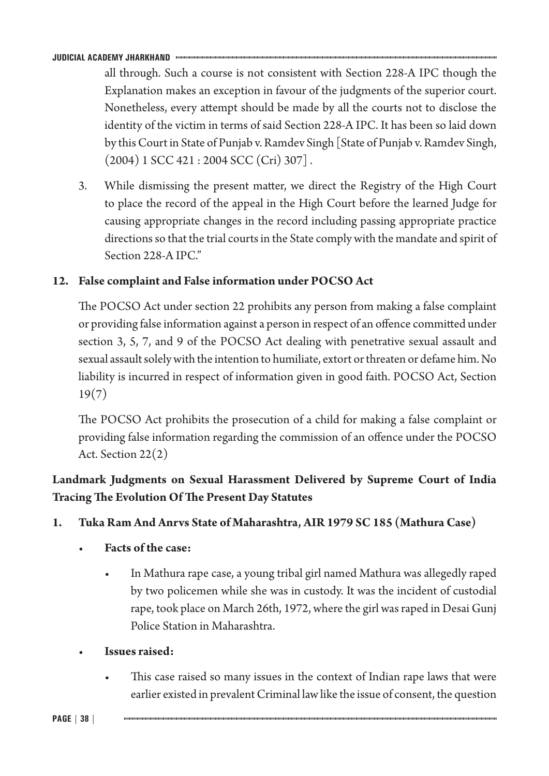all through. Such a course is not consistent with Section 228-A IPC though the Explanation makes an exception in favour of the judgments of the superior court. Nonetheless, every attempt should be made by all the courts not to disclose the identity of the victim in terms of said Section 228-A IPC. It has been so laid down by this Court in State of Punjab v. Ramdev Singh [State of Punjab v. Ramdev Singh,  $(2004)$  1 SCC 421 : 2004 SCC (Cri) 307].

3. While dismissing the present matter, we direct the Registry of the High Court to place the record of the appeal in the High Court before the learned Judge for causing appropriate changes in the record including passing appropriate practice directions so that the trial courts in the State comply with the mandate and spirit of Section 228-A IPC."

# **12. False complaint and False information under POCSO Act**

The POCSO Act under section 22 prohibits any person from making a false complaint or providing false information against a person in respect of an offence committed under section 3, 5, 7, and 9 of the POCSO Act dealing with penetrative sexual assault and sexual assault solely with the intention to humiliate, extort or threaten or defame him. No liability is incurred in respect of information given in good faith. POCSO Act, Section 19(7)

The POCSO Act prohibits the prosecution of a child for making a false complaint or providing false information regarding the commission of an offence under the POCSO Act. Section 22(2)

# **Landmark Judgments on Sexual Harassment Delivered by Supreme Court of India Tracing The Evolution Of The Present Day Statutes**

# **1. Tuka Ram And Anrvs State of Maharashtra, AIR 1979 SC 185 (Mathura Case)**

- **Facts of the case:**
	- In Mathura rape case, a young tribal girl named Mathura was allegedly raped by two policemen while she was in custody. It was the incident of custodial rape, took place on March 26th, 1972, where the girl was raped in Desai Gunj Police Station in Maharashtra.
- **Issues raised:**
	- This case raised so many issues in the context of Indian rape laws that were earlier existed in prevalent Criminal law like the issue of consent, the question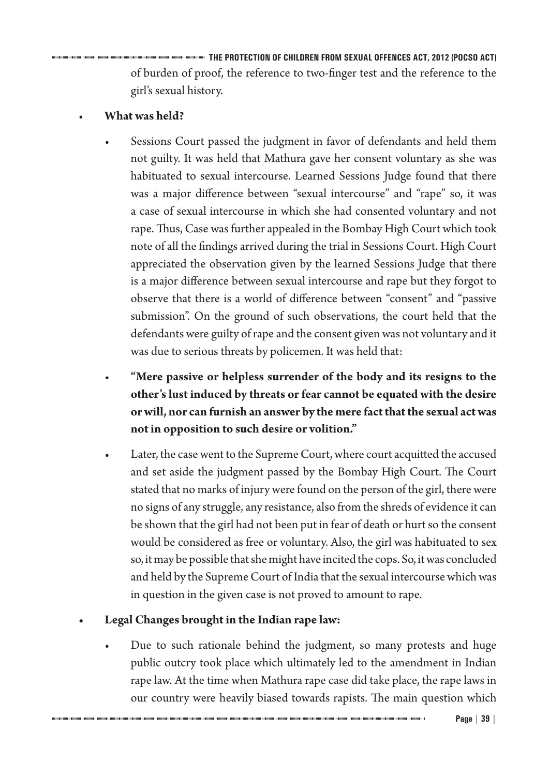**THE PROTECTION OF CHILDREN FROM SEXUAL OFFENCES ACT, 2012 (POCSO ACT)** of burden of proof, the reference to two-finger test and the reference to the girl's sexual history.

# • **What was held?**

- Sessions Court passed the judgment in favor of defendants and held them not guilty. It was held that Mathura gave her consent voluntary as she was habituated to sexual intercourse. Learned Sessions Judge found that there was a major difference between "sexual intercourse" and "rape" so, it was a case of sexual intercourse in which she had consented voluntary and not rape. Thus, Case was further appealed in the Bombay High Court which took note of all the findings arrived during the trial in Sessions Court. High Court appreciated the observation given by the learned Sessions Judge that there is a major difference between sexual intercourse and rape but they forgot to observe that there is a world of difference between "consent" and "passive submission". On the ground of such observations, the court held that the defendants were guilty of rape and the consent given was not voluntary and it was due to serious threats by policemen. It was held that:
- **"Mere passive or helpless surrender of the body and its resigns to the other's lust induced by threats or fear cannot be equated with the desire orwill, nor can furnish an answer by themere factthatthe sexual actwas not in opposition to such desire or volition."**
- Later, the case went to the Supreme Court, where court acquitted the accused and set aside the judgment passed by the Bombay High Court. The Court stated that no marks of injury were found on the person of the girl, there were no signs of any struggle, any resistance, also from the shreds of evidence it can be shown that the girl had not been put in fear of death or hurt so the consent would be considered as free or voluntary. Also, the girl was habituated to sex so, it may be possible that she might have incited the cops. So, it was concluded and held by the Supreme Court of India that the sexual intercourse which was in question in the given case is not proved to amount to rape.

# **• Legal Changes brought in the Indian rape law:**

• Due to such rationale behind the judgment, so many protests and huge public outcry took place which ultimately led to the amendment in Indian rape law. At the time when Mathura rape case did take place, the rape laws in our country were heavily biased towards rapists. The main question which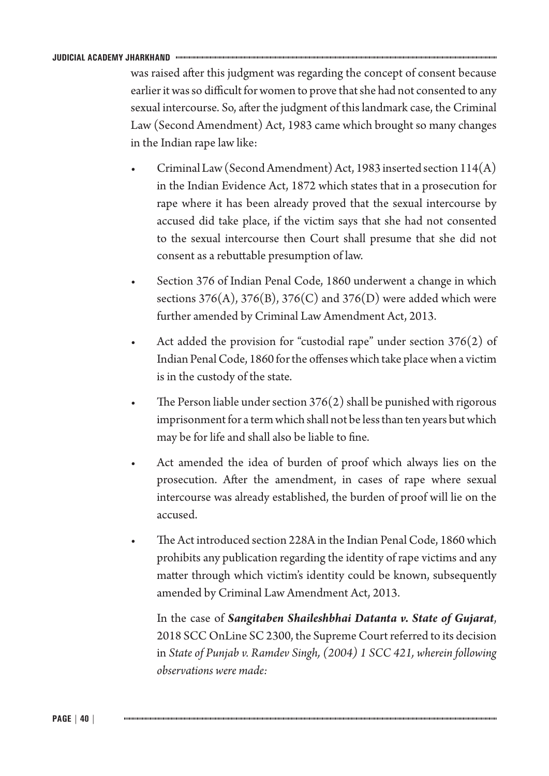was raised after this judgment was regarding the concept of consent because earlier it was so difficult for women to prove that she had not consented to any sexual intercourse. So, after the judgment of this landmark case, the Criminal Law (Second Amendment) Act, 1983 came which brought so many changes in the Indian rape law like:

- Criminal Law (Second Amendment) Act, 1983 inserted section 114(A) in the Indian Evidence Act, 1872 which states that in a prosecution for rape where it has been already proved that the sexual intercourse by accused did take place, if the victim says that she had not consented to the sexual intercourse then Court shall presume that she did not consent as a rebuttable presumption of law.
- Section 376 of Indian Penal Code, 1860 underwent a change in which sections  $376(A)$ ,  $376(B)$ ,  $376(C)$  and  $376(D)$  were added which were further amended by Criminal Law Amendment Act, 2013.
- Act added the provision for "custodial rape" under section  $376(2)$  of Indian Penal Code, 1860 for the offenses which take place when a victim is in the custody of the state.
- The Person liable under section  $376(2)$  shall be punished with rigorous imprisonment for a term which shall not be less than ten years but which may be for life and shall also be liable to fine.
- Act amended the idea of burden of proof which always lies on the prosecution. After the amendment, in cases of rape where sexual intercourse was already established, the burden of proof will lie on the accused.
- The Act introduced section 228A in the Indian Penal Code, 1860 which prohibits any publication regarding the identity of rape victims and any matter through which victim's identity could be known, subsequently amended by Criminal Law Amendment Act, 2013.

In the case of *Sangitaben Shaileshbhai Datanta v. State of Gujarat*, 2018 SCC OnLine SC 2300, the Supreme Court referred to its decision in *State of Punjab v. Ramdev Singh, (2004) 1 SCC 421, wherein following observations were made:*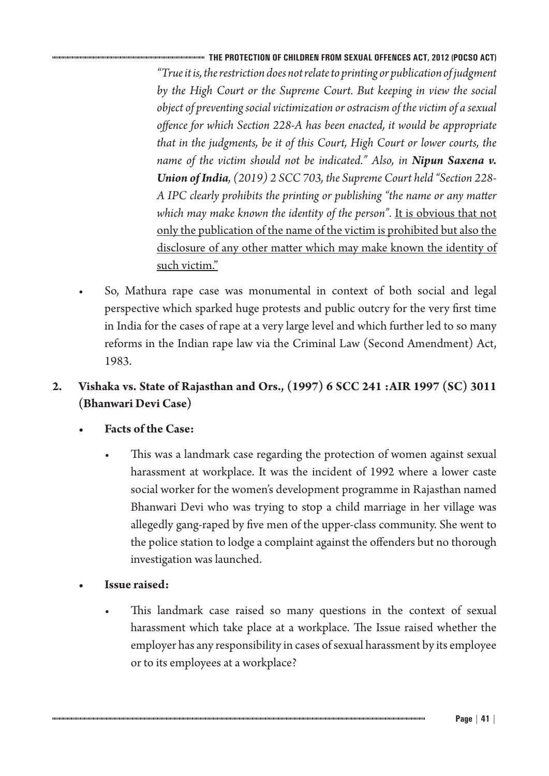**THE PROTECTION OF CHILDREN FROM SEXUAL OFFENCES ACT, 2012 (POCSO ACT)** *"True it is, the restriction does not relate to printing or publication of judgment by the High Court or the Supreme Court. But keeping in view the social object of preventing social victimization or ostracism of the victim of a sexual offence for which Section 228-A has been enacted, it would be appropriate that in the judgments, be it of this Court, High Court or lower courts, the name of the victim should not be indicated." Also, in Nipun Saxena v. Union of India, (2019) 2 SCC 703, the Supreme Court held "Section 228- A IPC clearly prohibits the printing or publishing "the name or any matter*  which may make known the identity of the person". It is obvious that not only the publication of the name of the victim is prohibited but also the disclosure of any other matter which may make known the identity of such victim."

• So, Mathura rape case was monumental in context of both social and legal perspective which sparked huge protests and public outcry for the very first time in India for the cases of rape at a very large level and which further led to so many reforms in the Indian rape law via the Criminal Law (Second Amendment) Act, 1983.

# **2. Vishaka vs. State of Rajasthan and Ors., (1997) 6 SCC 241 :AIR 1997 (SC) 3011 (Bhanwari Devi Case)**

- **• Facts of the Case:**
	- This was a landmark case regarding the protection of women against sexual harassment at workplace. It was the incident of 1992 where a lower caste social worker for the women's development programme in Rajasthan named Bhanwari Devi who was trying to stop a child marriage in her village was allegedly gang-raped by five men of the upper-class community. She went to the police station to lodge a complaint against the offenders but no thorough investigation was launched.
- **Issue raised:** 
	- This landmark case raised so many questions in the context of sexual harassment which take place at a workplace. The Issue raised whether the employer has any responsibility in cases of sexual harassment by its employee or to its employees at a workplace?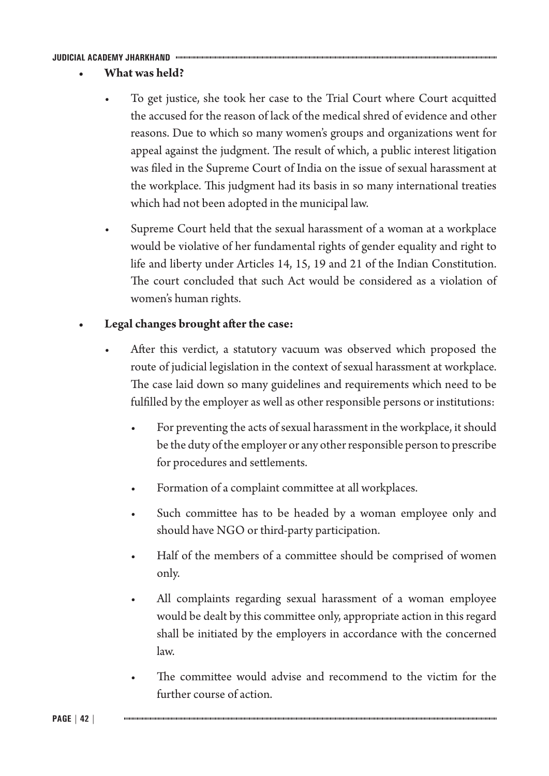- **• What was held?**
	- To get justice, she took her case to the Trial Court where Court acquitted the accused for the reason of lack of the medical shred of evidence and other reasons. Due to which so many women's groups and organizations went for appeal against the judgment. The result of which, a public interest litigation was filed in the Supreme Court of India on the issue of sexual harassment at the workplace. This judgment had its basis in so many international treaties which had not been adopted in the municipal law.
	- Supreme Court held that the sexual harassment of a woman at a workplace would be violative of her fundamental rights of gender equality and right to life and liberty under Articles 14, 15, 19 and 21 of the Indian Constitution. The court concluded that such Act would be considered as a violation of women's human rights.

# **Legal changes brought after the case:**

- After this verdict, a statutory vacuum was observed which proposed the route of judicial legislation in the context of sexual harassment at workplace. The case laid down so many guidelines and requirements which need to be fulfilled by the employer as well as other responsible persons or institutions:
	- For preventing the acts of sexual harassment in the workplace, it should be the duty of the employer or any other responsible person to prescribe for procedures and settlements.
	- Formation of a complaint committee at all workplaces.
	- Such committee has to be headed by a woman employee only and should have NGO or third-party participation.
	- Half of the members of a committee should be comprised of women only.
	- All complaints regarding sexual harassment of a woman employee would be dealt by this committee only, appropriate action in this regard shall be initiated by the employers in accordance with the concerned law.
	- The committee would advise and recommend to the victim for the further course of action.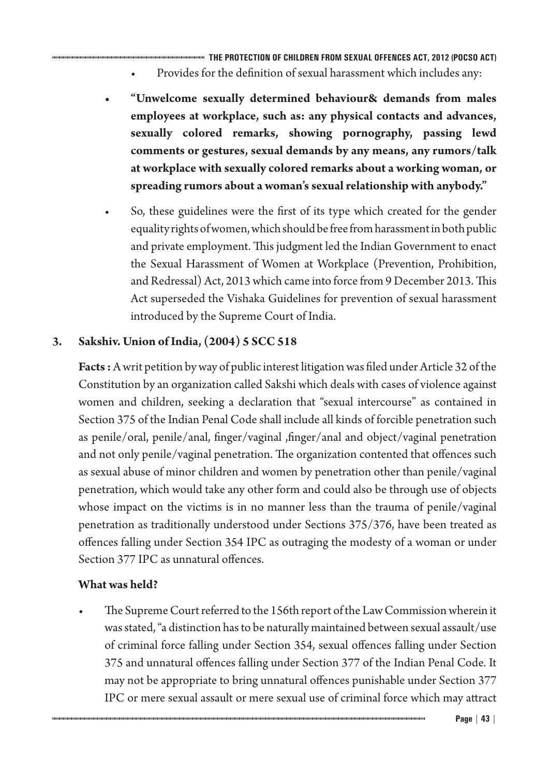**THE PROTECTION OF CHILDREN FROM SEXUAL OFFENCES ACT, 2012 (POCSO ACT)**

- Provides for the definition of sexual harassment which includes any:
- **• "Unwelcome sexually determined behaviour& demands from males employees at workplace, such as: any physical contacts and advances, sexually colored remarks, showing pornography, passing lewd comments or gestures, sexual demands by any means, any rumors/talk at workplace with sexually colored remarks about a working woman, or spreading rumors about a woman'ssexualrelationship with anybody."**
- So, these guidelines were the first of its type which created for the gender equality rights of women, which should be free from harassment in both public and private employment. This judgment led the Indian Government to enact the Sexual Harassment of Women at Workplace (Prevention, Prohibition, and Redressal) Act, 2013 which came into force from 9 December 2013. This Act superseded the Vishaka Guidelines for prevention of sexual harassment introduced by the Supreme Court of India.

# **3. Sakshiv. Union of India, (2004) 5 SCC 518**

**Facts :** A writ petition by way of public interest litigation was filed under Article 32 of the Constitution by an organization called Sakshi which deals with cases of violence against women and children, seeking a declaration that "sexual intercourse" as contained in Section 375 of the Indian Penal Code shall include all kinds of forcible penetration such as penile/oral, penile/anal, finger/vaginal ,finger/anal and object/vaginal penetration and not only penile/vaginal penetration. The organization contented that offences such as sexual abuse of minor children and women by penetration other than penile/vaginal penetration, which would take any other form and could also be through use of objects whose impact on the victims is in no manner less than the trauma of penile/vaginal penetration as traditionally understood under Sections 375/376, have been treated as offences falling under Section 354 IPC as outraging the modesty of a woman or under Section 377 IPC as unnatural offences.

## **What was held?**

• The Supreme Court referred to the 156th report of the Law Commission wherein it was stated, "a distinction has to be naturally maintained between sexual assault/use of criminal force falling under Section 354, sexual offences falling under Section 375 and unnatural offences falling under Section 377 of the Indian Penal Code. It may not be appropriate to bring unnatural offences punishable under Section 377 IPC or mere sexual assault or mere sexual use of criminal force which may attract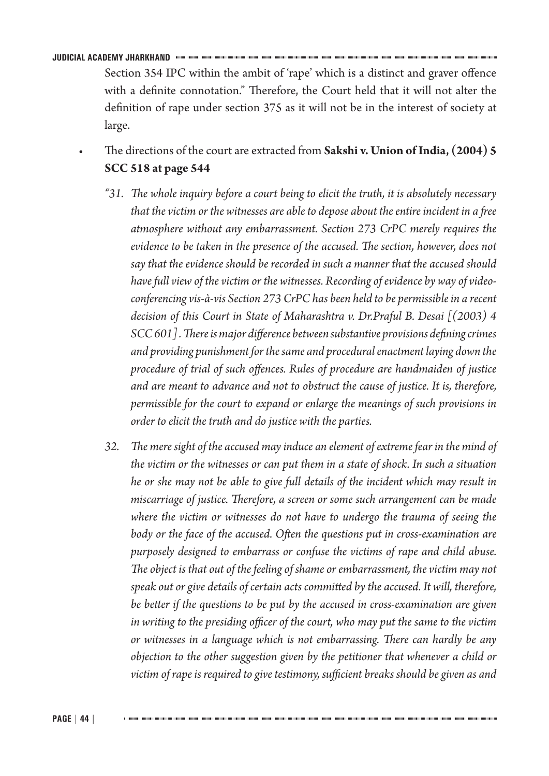Section 354 IPC within the ambit of 'rape' which is a distinct and graver offence with a definite connotation." Therefore, the Court held that it will not alter the definition of rape under section 375 as it will not be in the interest of society at large.

- The directions of the court are extracted from **Sakshi v. Union of India, (2004) 5 SCC 518 at page 544**
- *"31. The whole inquiry before a court being to elicit the truth, it is absolutely necessary that the victim or the witnesses are able to depose about the entire incident in a free atmosphere without any embarrassment. Section 273 CrPC merely requires the evidence to be taken in the presence of the accused. The section, however, does not say that the evidence should be recorded in such a manner that the accused should have full view of the victim or the witnesses. Recording of evidence by way of videoconferencing vis-à-vis Section 273 CrPC has been held to be permissible in a recent decision of this Court in State of Maharashtra v. Dr.Praful B. Desai [(2003) 4 SCC 601] . There is major difference between substantive provisions defining crimes and providing punishment for the same and procedural enactment laying down the procedure of trial of such offences. Rules of procedure are handmaiden of justice and are meant to advance and not to obstruct the cause of justice. It is, therefore, permissible for the court to expand or enlarge the meanings of such provisions in order to elicit the truth and do justice with the parties.*
- *32. The mere sight of the accused may induce an element of extreme fear in the mind of the victim or the witnesses or can put them in a state of shock. In such a situation he or she may not be able to give full details of the incident which may result in miscarriage of justice. Therefore, a screen or some such arrangement can be made where the victim or witnesses do not have to undergo the trauma of seeing the body or the face of the accused. Often the questions put in cross-examination are purposely designed to embarrass or confuse the victims of rape and child abuse. The object is that out of the feeling of shame or embarrassment, the victim may not speak out or give details of certain acts committed by the accused. It will, therefore, be better if the questions to be put by the accused in cross-examination are given in writing to the presiding officer of the court, who may put the same to the victim or witnesses in a language which is not embarrassing. There can hardly be any objection to the other suggestion given by the petitioner that whenever a child or victim of rape is required to give testimony, sufficient breaks should be given as and*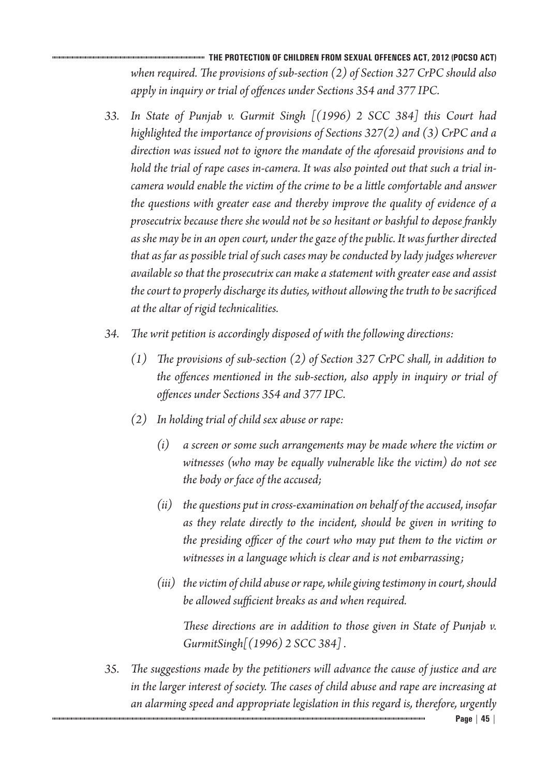**THE PROTECTION OF CHILDREN FROM SEXUAL OFFENCES ACT, 2012 (POCSO ACT)** *when required. The provisions of sub-section (2) of Section 327 CrPC should also apply in inquiry or trial of offences under Sections 354 and 377 IPC.*

- *33. In State of Punjab v. Gurmit Singh [(1996) 2 SCC 384] this Court had highlighted the importance of provisions of Sections 327(2) and (3) CrPC and a direction was issued not to ignore the mandate of the aforesaid provisions and to hold the trial of rape cases in-camera. It was also pointed out that such a trial incamera would enable the victim of the crime to be a little comfortable and answer the questions with greater ease and thereby improve the quality of evidence of a prosecutrix because there she would not be so hesitant or bashful to depose frankly as she may be in an open court, under the gaze of the public. It was further directed that as far as possible trial of such cases may be conducted by lady judges wherever available so that the prosecutrix can make a statement with greater ease and assist the court to properly discharge its duties, without allowing the truth to be sacrificed at the altar of rigid technicalities.*
- *34. The writ petition is accordingly disposed of with the following directions:*
	- *(1) The provisions of sub-section (2) of Section 327 CrPC shall, in addition to the offences mentioned in the sub-section, also apply in inquiry or trial of offences under Sections 354 and 377 IPC.*
	- *(2) In holding trial of child sex abuse or rape:*
		- *(i) a screen or some such arrangements may be made where the victim or witnesses (who may be equally vulnerable like the victim) do not see the body or face of the accused;*
		- *(ii) the questions put in cross-examination on behalf of the accused, insofar as they relate directly to the incident, should be given in writing to the presiding officer of the court who may put them to the victim or witnesses in a language which is clear and is not embarrassing;*
		- *(iii) the victim of child abuse or rape, while giving testimony in court, should be allowed sufficient breaks as and when required.*

*These directions are in addition to those given in State of Punjab v. GurmitSingh[(1996) 2 SCC 384] .*

*35. The suggestions made by the petitioners will advance the cause of justice and are in the larger interest of society. The cases of child abuse and rape are increasing at an alarming speed and appropriate legislation in this regard is, therefore, urgently*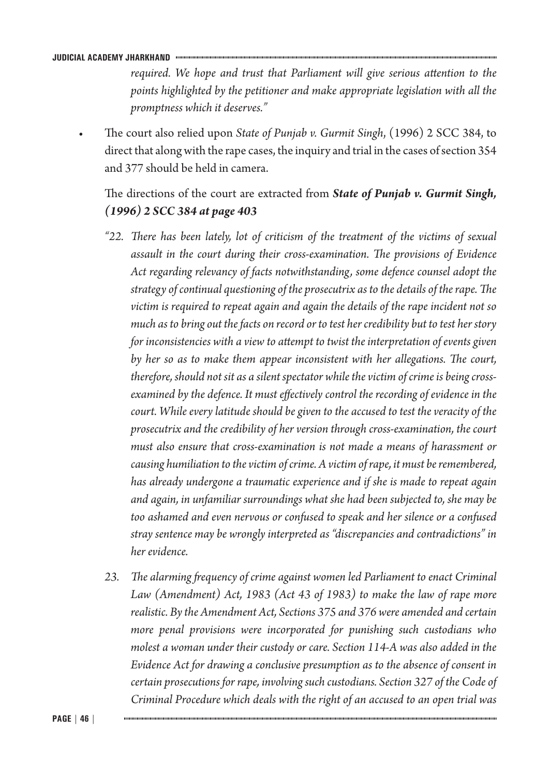*required. We hope and trust that Parliament will give serious attention to the points highlighted by the petitioner and make appropriate legislation with all the promptness which it deserves."*

• The court also relied upon *State of Punjab v. Gurmit Singh*, (1996) 2 SCC 384, to direct that along with the rape cases, the inquiry and trial in the cases of section 354 and 377 should be held in camera.

The directions of the court are extracted from *State of Punjab v. Gurmit Singh, (1996) 2 SCC 384 at page 403*

- *"22. There has been lately, lot of criticism of the treatment of the victims of sexual assault in the court during their cross-examination. The provisions of Evidence Act regarding relevancy of facts notwithstanding, some defence counsel adopt the strategy of continual questioning of the prosecutrix as to the details of the rape. The victim is required to repeat again and again the details of the rape incident not so much as to bring out the facts on record or to test her credibility but to test her story for inconsistencies with a view to attempt to twist the interpretation of events given by her so as to make them appear inconsistent with her allegations. The court, therefore, should not sit as a silent spectator while the victim of crime is being crossexamined by the defence. It must effectively control the recording of evidence in the court. While every latitude should be given to the accused to test the veracity of the prosecutrix and the credibility of her version through cross-examination, the court must also ensure that cross-examination is not made a means of harassment or causing humiliation to the victim of crime. A victim of rape, it must be remembered, has already undergone a traumatic experience and if she is made to repeat again and again, in unfamiliar surroundings what she had been subjected to, she may be too ashamed and even nervous or confused to speak and her silence or a confused stray sentence may be wrongly interpreted as "discrepancies and contradictions" in her evidence.*
- 23. The alarming frequency of crime against women led Parliament to enact Criminal *Law (Amendment) Act, 1983 (Act 43 of 1983) to make the law of rape more realistic. By the Amendment Act, Sections 375 and 376 were amended and certain more penal provisions were incorporated for punishing such custodians who molest a woman under their custody or care. Section 114-A was also added in the Evidence Act for drawing a conclusive presumption as to the absence of consent in certain prosecutions for rape, involving such custodians. Section 327 of the Code of Criminal Procedure which deals with the right of an accused to an open trial was*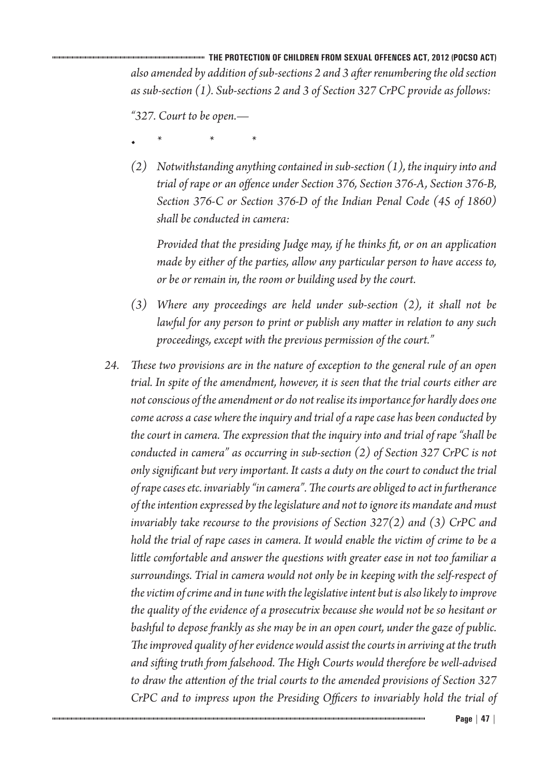*"327. Court to be open.—*

- *• \* \* \** 
	- *(2) Notwithstanding anything contained in sub-section (1), the inquiry into and trial of rape or an offence under Section 376, Section 376-A, Section 376-B, Section 376-C or Section 376-D of the Indian Penal Code (45 of 1860) shall be conducted in camera:*

*Provided that the presiding Judge may, if he thinks fit, or on an application made by either of the parties, allow any particular person to have access to, or be or remain in, the room or building used by the court.*

- *(3) Where any proceedings are held under sub-section (2), it shall not be lawful for any person to print or publish any matter in relation to any such proceedings, except with the previous permission of the court."*
- *24. These two provisions are in the nature of exception to the general rule of an open trial. In spite of the amendment, however, it is seen that the trial courts either are not conscious of the amendment or do not realise its importance for hardly does one come across a case where the inquiry and trial of a rape case has been conducted by the court in camera. The expression that the inquiry into and trial of rape "shall be conducted in camera" as occurring in sub-section (2) of Section 327 CrPC is not only significant but very important. It casts a duty on the court to conduct the trial of rape cases etc. invariably "in camera". The courts are obliged to act in furtherance of the intention expressed by the legislature and not to ignore its mandate and must invariably take recourse to the provisions of Section 327(2) and (3) CrPC and hold the trial of rape cases in camera. It would enable the victim of crime to be a little comfortable and answer the questions with greater ease in not too familiar a surroundings. Trial in camera would not only be in keeping with the self-respect of the victim of crime and in tune with the legislative intent but is also likely to improve the quality of the evidence of a prosecutrix because she would not be so hesitant or bashful to depose frankly as she may be in an open court, under the gaze of public. The improved quality of her evidence would assist the courts in arriving at the truth and sifting truth from falsehood. The High Courts would therefore be well-advised to draw the attention of the trial courts to the amended provisions of Section 327 CrPC and to impress upon the Presiding Officers to invariably hold the trial of*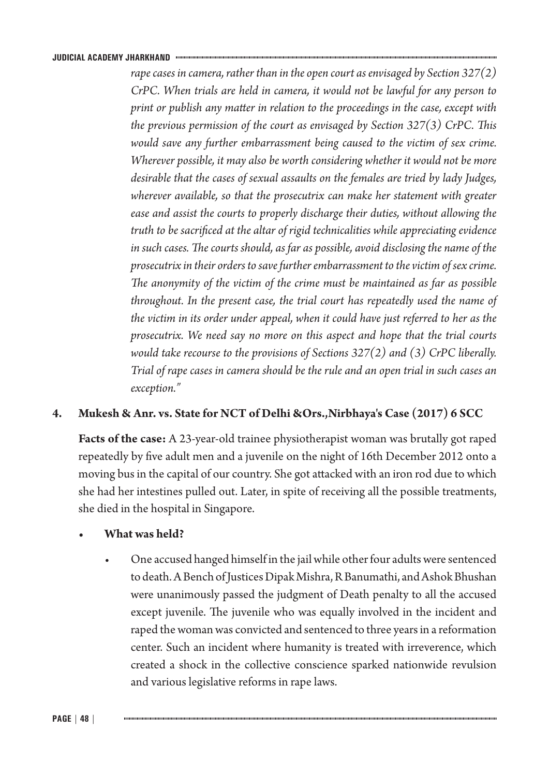*rape cases in camera, rather than in the open court as envisaged by Section 327(2) CrPC. When trials are held in camera, it would not be lawful for any person to print or publish any matter in relation to the proceedings in the case, except with the previous permission of the court as envisaged by Section 327(3) CrPC. This would save any further embarrassment being caused to the victim of sex crime. Wherever possible, it may also be worth considering whether it would not be more desirable that the cases of sexual assaults on the females are tried by lady Judges, wherever available, so that the prosecutrix can make her statement with greater ease and assist the courts to properly discharge their duties, without allowing the truth to be sacrificed at the altar of rigid technicalities while appreciating evidence in such cases. The courts should, as far as possible, avoid disclosing the name of the prosecutrix in their orders to save further embarrassment to the victim of sex crime. The anonymity of the victim of the crime must be maintained as far as possible throughout. In the present case, the trial court has repeatedly used the name of the victim in its order under appeal, when it could have just referred to her as the prosecutrix. We need say no more on this aspect and hope that the trial courts would take recourse to the provisions of Sections 327(2) and (3) CrPC liberally. Trial of rape cases in camera should be the rule and an open trial in such cases an exception."*

## **4. Mukesh & Anr. vs. State for NCT of Delhi &Ors.,Nirbhaya's Case (2017) 6 SCC**

**Facts of the case:** A 23-year-old trainee physiotherapist woman was brutally got raped repeatedly by five adult men and a juvenile on the night of 16th December 2012 onto a moving bus in the capital of our country. She got attacked with an iron rod due to which she had her intestines pulled out. Later, in spite of receiving all the possible treatments, she died in the hospital in Singapore.

## **• What was held?**

• One accused hanged himself in the jail while other four adults were sentenced to death. A Bench of Justices Dipak Mishra, R Banumathi, and Ashok Bhushan were unanimously passed the judgment of Death penalty to all the accused except juvenile. The juvenile who was equally involved in the incident and raped the woman was convicted and sentenced to three years in a reformation center. Such an incident where humanity is treated with irreverence, which created a shock in the collective conscience sparked nationwide revulsion and various legislative reforms in rape laws.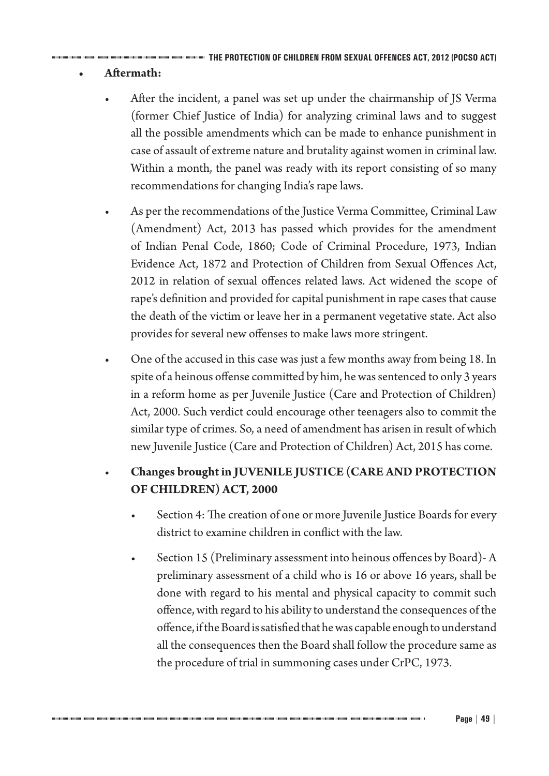# **• Aftermath:**

- After the incident, a panel was set up under the chairmanship of JS Verma (former Chief Justice of India) for analyzing criminal laws and to suggest all the possible amendments which can be made to enhance punishment in case of assault of extreme nature and brutality against women in criminal law. Within a month, the panel was ready with its report consisting of so many recommendations for changing India's rape laws.
- As per the recommendations of the Justice Verma Committee, Criminal Law (Amendment) Act, 2013 has passed which provides for the amendment of Indian Penal Code, 1860; Code of Criminal Procedure, 1973, Indian Evidence Act, 1872 and Protection of Children from Sexual Offences Act, 2012 in relation of sexual offences related laws. Act widened the scope of rape's definition and provided for capital punishment in rape cases that cause the death of the victim or leave her in a permanent vegetative state. Act also provides for several new offenses to make laws more stringent.
- One of the accused in this case was just a few months away from being 18. In spite of a heinous offense committed by him, he was sentenced to only 3 years in a reform home as per Juvenile Justice (Care and Protection of Children) Act, 2000. Such verdict could encourage other teenagers also to commit the similar type of crimes. So, a need of amendment has arisen in result of which new Juvenile Justice (Care and Protection of Children) Act, 2015 has come.

# • **Changes brought in JUVENILE JUSTICE (CARE AND PROTECTION OF CHILDREN) ACT, 2000**

- Section 4: The creation of one or more Juvenile Justice Boards for every district to examine children in conflict with the law.
- Section 15 (Preliminary assessment into heinous offences by Board)- A preliminary assessment of a child who is 16 or above 16 years, shall be done with regard to his mental and physical capacity to commit such offence, with regard to his ability to understand the consequences of the offence, if the Board is satisfied that he was capable enough to understand all the consequences then the Board shall follow the procedure same as the procedure of trial in summoning cases under CrPC, 1973.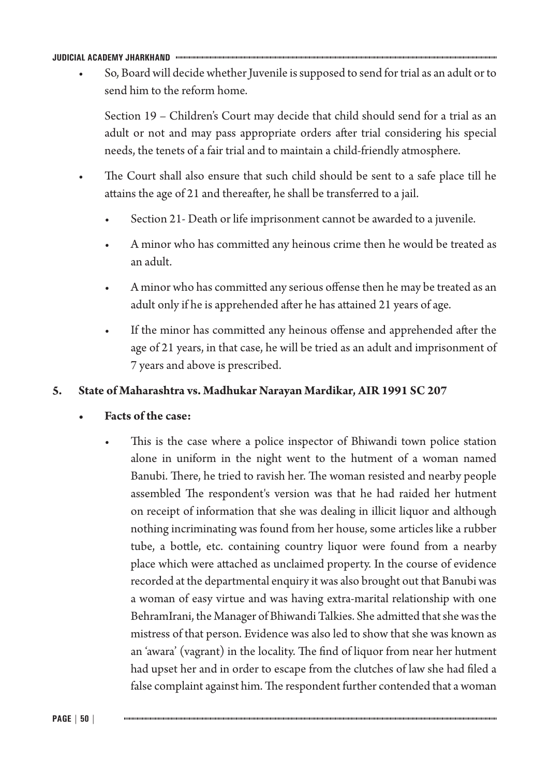• So, Board will decide whether Juvenile is supposed to send for trial as an adult or to send him to the reform home.

Section 19 – Children's Court may decide that child should send for a trial as an adult or not and may pass appropriate orders after trial considering his special needs, the tenets of a fair trial and to maintain a child-friendly atmosphere.

- The Court shall also ensure that such child should be sent to a safe place till he attains the age of 21 and thereafter, he shall be transferred to a jail.
	- Section 21- Death or life imprisonment cannot be awarded to a juvenile.
	- A minor who has committed any heinous crime then he would be treated as an adult.
	- A minor who has committed any serious offense then he may be treated as an adult only if he is apprehended after he has attained 21 years of age.
	- If the minor has committed any heinous offense and apprehended after the age of 21 years, in that case, he will be tried as an adult and imprisonment of 7 years and above is prescribed.

### **5. State of Maharashtra vs. Madhukar Narayan Mardikar, AIR 1991 SC 207**

### **Facts** of the case:

This is the case where a police inspector of Bhiwandi town police station alone in uniform in the night went to the hutment of a woman named Banubi. There, he tried to ravish her. The woman resisted and nearby people assembled The respondent's version was that he had raided her hutment on receipt of information that she was dealing in illicit liquor and although nothing incriminating was found from her house, some articles like a rubber tube, a bottle, etc. containing country liquor were found from a nearby place which were attached as unclaimed property. In the course of evidence recorded at the departmental enquiry it was also brought out that Banubi was a woman of easy virtue and was having extra-marital relationship with one BehramIrani, the Manager of Bhiwandi Talkies. She admitted that she was the mistress of that person. Evidence was also led to show that she was known as an 'awara' (vagrant) in the locality. The find of liquor from near her hutment had upset her and in order to escape from the clutches of law she had filed a false complaint against him. The respondent further contended that a woman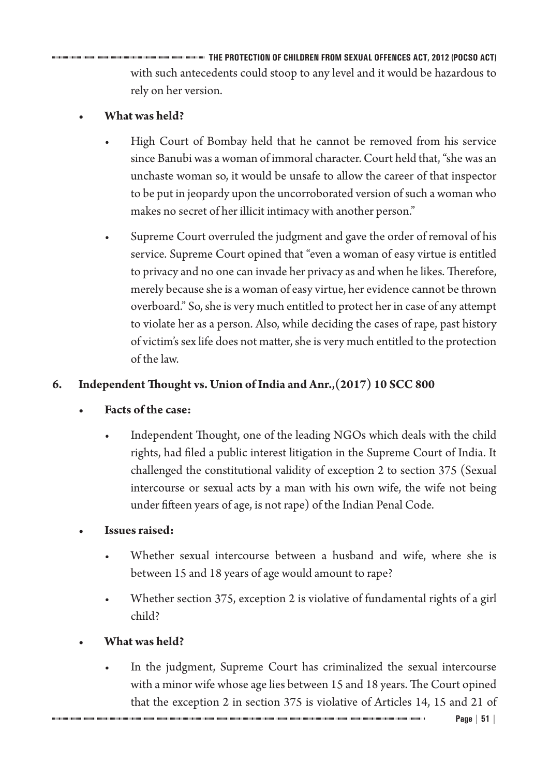**THE PROTECTION OF CHILDREN FROM SEXUAL OFFENCES ACT, 2012 (POCSO ACT)** with such antecedents could stoop to any level and it would be hazardous to rely on her version.

# **• What was held?**

- High Court of Bombay held that he cannot be removed from his service since Banubi was a woman of immoral character. Court held that, "she was an unchaste woman so, it would be unsafe to allow the career of that inspector to be put in jeopardy upon the uncorroborated version of such a woman who makes no secret of her illicit intimacy with another person."
- Supreme Court overruled the judgment and gave the order of removal of his service. Supreme Court opined that "even a woman of easy virtue is entitled to privacy and no one can invade her privacy as and when he likes. Therefore, merely because she is a woman of easy virtue, her evidence cannot be thrown overboard." So, she is very much entitled to protect her in case of any attempt to violate her as a person. Also, while deciding the cases of rape, past history of victim's sex life does not matter, she is very much entitled to the protection of the law.

# **6. Independent Thought vs. Union of India and Anr.,(2017) 10 SCC 800**

# **Facts** of the case:

- Independent Thought, one of the leading NGOs which deals with the child rights, had filed a public interest litigation in the Supreme Court of India. It challenged the constitutional validity of exception 2 to section 375 (Sexual intercourse or sexual acts by a man with his own wife, the wife not being under fifteen years of age, is not rape) of the Indian Penal Code.
- **Issues raised:** 
	- Whether sexual intercourse between a husband and wife, where she is between 15 and 18 years of age would amount to rape?
	- Whether section 375, exception 2 is violative of fundamental rights of a girl child?
- **• What was held?**
	- In the judgment, Supreme Court has criminalized the sexual intercourse with a minor wife whose age lies between 15 and 18 years. The Court opined that the exception 2 in section 375 is violative of Articles 14, 15 and 21 of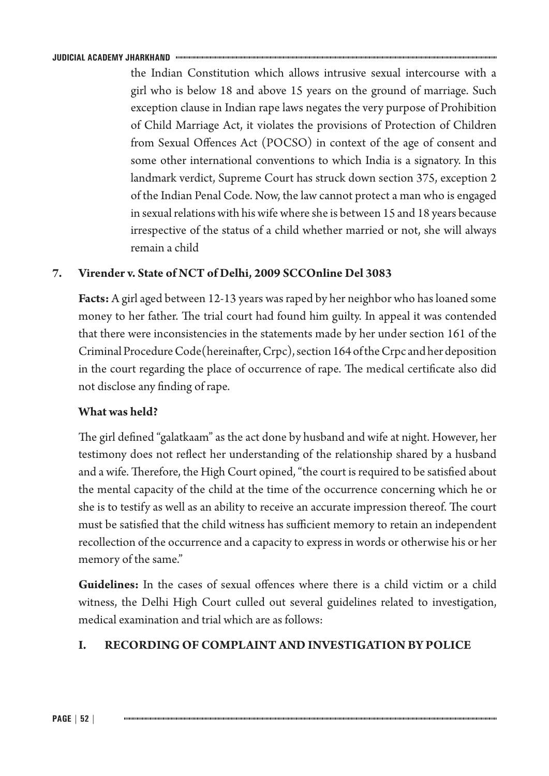the Indian Constitution which allows intrusive sexual intercourse with a girl who is below 18 and above 15 years on the ground of marriage. Such exception clause in Indian rape laws negates the very purpose of Prohibition of Child Marriage Act, it violates the provisions of Protection of Children from Sexual Offences Act (POCSO) in context of the age of consent and some other international conventions to which India is a signatory. In this landmark verdict, Supreme Court has struck down section 375, exception 2 of the Indian Penal Code. Now, the law cannot protect a man who is engaged in sexual relations with his wife where she is between 15 and 18 years because irrespective of the status of a child whether married or not, she will always remain a child

## **7. Virender v. State of NCT of Delhi, 2009 SCCOnline Del 3083**

**Facts:** A girl aged between 12-13 years was raped by her neighbor who has loaned some money to her father. The trial court had found him guilty. In appeal it was contended that there were inconsistencies in the statements made by her under section 161 of the Criminal Procedure Code(hereinafter, Crpc), section 164 of the Crpc and her deposition in the court regarding the place of occurrence of rape. The medical certificate also did not disclose any finding of rape.

## **What was held?**

The girl defined "galatkaam" as the act done by husband and wife at night. However, her testimony does not reflect her understanding of the relationship shared by a husband and a wife. Therefore, the High Court opined, "the court is required to be satisfied about the mental capacity of the child at the time of the occurrence concerning which he or she is to testify as well as an ability to receive an accurate impression thereof. The court must be satisfied that the child witness has sufficient memory to retain an independent recollection of the occurrence and a capacity to express in words or otherwise his or her memory of the same."

**Guidelines:** In the cases of sexual offences where there is a child victim or a child witness, the Delhi High Court culled out several guidelines related to investigation, medical examination and trial which are as follows:

# **I. RECORDING OF COMPLAINT AND INVESTIGATION BY POLICE**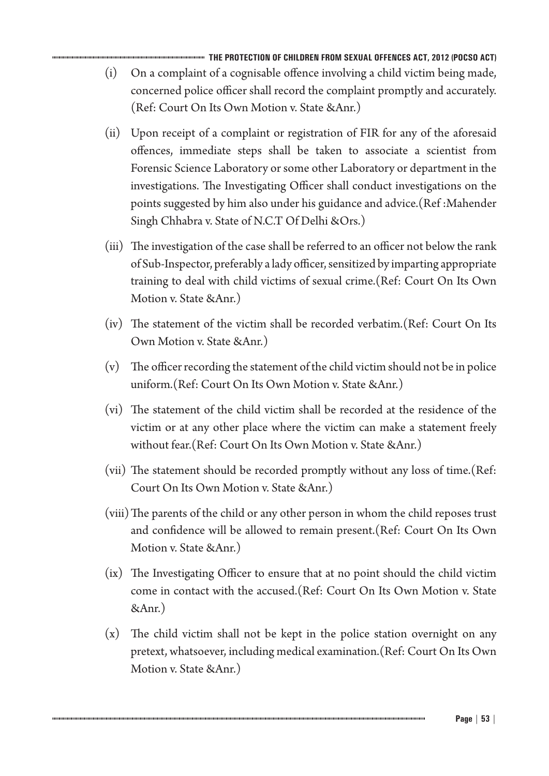**THE PROTECTION OF CHILDREN FROM SEXUAL OFFENCES ACT, 2012 (POCSO ACT)**

- (i) On a complaint of a cognisable offence involving a child victim being made, concerned police officer shall record the complaint promptly and accurately. (Ref: Court On Its Own Motion v. State &Anr.)
- (ii) Upon receipt of a complaint or registration of FIR for any of the aforesaid offences, immediate steps shall be taken to associate a scientist from Forensic Science Laboratory or some other Laboratory or department in the investigations. The Investigating Officer shall conduct investigations on the points suggested by him also under his guidance and advice.(Ref :Mahender Singh Chhabra v. State of N.C.T Of Delhi &Ors.)
- (iii) The investigation of the case shall be referred to an officer not below the rank of Sub-Inspector, preferably a lady officer, sensitized by imparting appropriate training to deal with child victims of sexual crime.(Ref: Court On Its Own Motion v. State &Anr.)
- (iv) The statement of the victim shall be recorded verbatim.(Ref: Court On Its Own Motion v. State &Anr.)
- (v) The officer recording the statement of the child victim should not be in police uniform.(Ref: Court On Its Own Motion v. State &Anr.)
- (vi) The statement of the child victim shall be recorded at the residence of the victim or at any other place where the victim can make a statement freely without fear.(Ref: Court On Its Own Motion v. State &Anr.)
- (vii) The statement should be recorded promptly without any loss of time.(Ref: Court On Its Own Motion v. State &Anr.)
- (viii)The parents of the child or any other person in whom the child reposes trust and confidence will be allowed to remain present.(Ref: Court On Its Own Motion v. State &Anr.)
- (ix) The Investigating Officer to ensure that at no point should the child victim come in contact with the accused.(Ref: Court On Its Own Motion v. State &Anr.)
- (x) The child victim shall not be kept in the police station overnight on any pretext, whatsoever, including medical examination.(Ref: Court On Its Own Motion v. State &Anr.)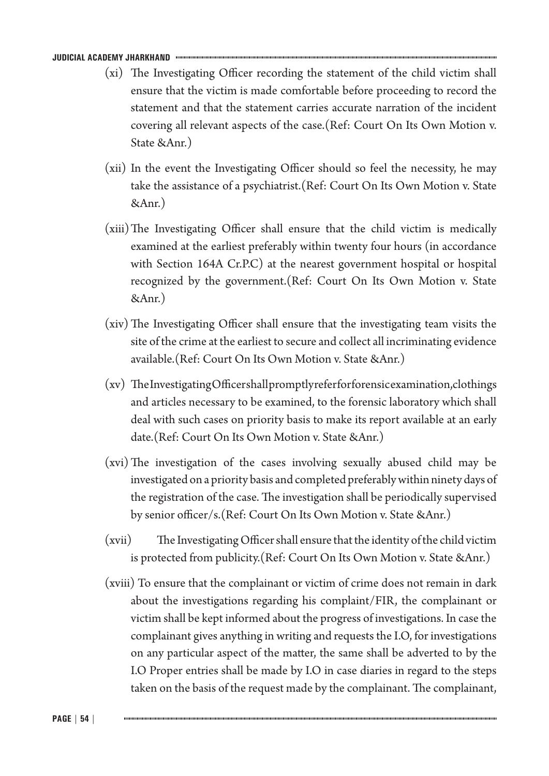- (xi) The Investigating Officer recording the statement of the child victim shall ensure that the victim is made comfortable before proceeding to record the statement and that the statement carries accurate narration of the incident covering all relevant aspects of the case.(Ref: Court On Its Own Motion v. State &Anr.)
- (xii) In the event the Investigating Officer should so feel the necessity, he may take the assistance of a psychiatrist.(Ref: Court On Its Own Motion v. State &Anr.)
- (xiii)The Investigating Officer shall ensure that the child victim is medically examined at the earliest preferably within twenty four hours (in accordance with Section 164A Cr.P.C) at the nearest government hospital or hospital recognized by the government.(Ref: Court On Its Own Motion v. State &Anr.)
- (xiv) The Investigating Officer shall ensure that the investigating team visits the site of the crime at the earliest to secure and collect all incriminating evidence available.(Ref: Court On Its Own Motion v. State &Anr.)
- (xv) The Investigating Officer shall promptly refer for forensic examination,clothings and articles necessary to be examined, to the forensic laboratory which shall deal with such cases on priority basis to make its report available at an early date.(Ref: Court On Its Own Motion v. State &Anr.)
- (xvi)The investigation of the cases involving sexually abused child may be investigated on a priority basis and completed preferably within ninety days of the registration of the case. The investigation shall be periodically supervised by senior officer/s.(Ref: Court On Its Own Motion v. State &Anr.)
- (xvii) The Investigating Officer shall ensure that the identity of the child victim is protected from publicity.(Ref: Court On Its Own Motion v. State &Anr.)
- (xviii) To ensure that the complainant or victim of crime does not remain in dark about the investigations regarding his complaint/FIR, the complainant or victim shall be kept informed about the progress of investigations. In case the complainant gives anything in writing and requests the I.O, for investigations on any particular aspect of the matter, the same shall be adverted to by the I.O Proper entries shall be made by I.O in case diaries in regard to the steps taken on the basis of the request made by the complainant. The complainant,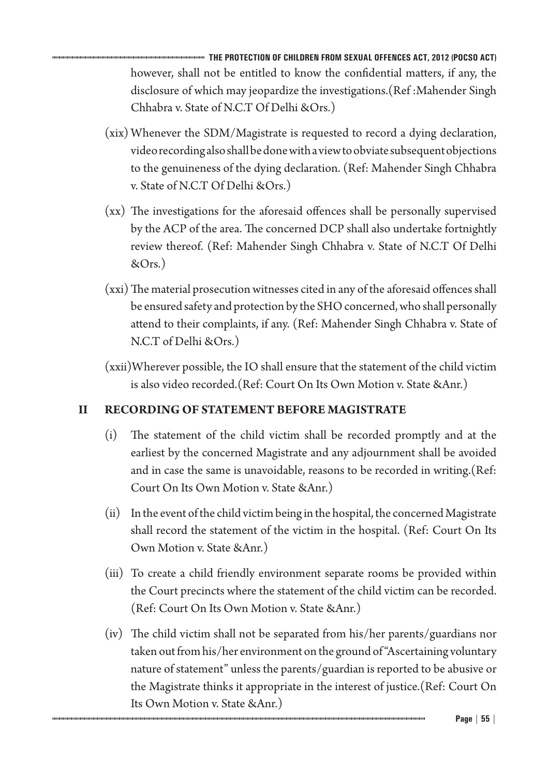**THE PROTECTION OF CHILDREN FROM SEXUAL OFFENCES ACT, 2012 (POCSO ACT)** however, shall not be entitled to know the confidential matters, if any, the disclosure of which may jeopardize the investigations.(Ref :Mahender Singh Chhabra v. State of N.C.T Of Delhi &Ors.)

- (xix) Whenever the SDM/Magistrate is requested to record a dying declaration, video recording also shall be done with a view to obviate subsequent objections to the genuineness of the dying declaration. (Ref: Mahender Singh Chhabra v. State of N.C.T Of Delhi &Ors.)
- (xx) The investigations for the aforesaid offences shall be personally supervised by the ACP of the area. The concerned DCP shall also undertake fortnightly review thereof. (Ref: Mahender Singh Chhabra v. State of N.C.T Of Delhi &Ors.)
- (xxi) The material prosecution witnesses cited in any of the aforesaid offences shall be ensured safety and protection by the SHO concerned, who shall personally attend to their complaints, if any. (Ref: Mahender Singh Chhabra v. State of N.C.T of Delhi &Ors.)
- (xxii)Wherever possible, the IO shall ensure that the statement of the child victim is also video recorded.(Ref: Court On Its Own Motion v. State &Anr.)

# **II RECORDING OF STATEMENT BEFORE MAGISTRATE**

- (i) The statement of the child victim shall be recorded promptly and at the earliest by the concerned Magistrate and any adjournment shall be avoided and in case the same is unavoidable, reasons to be recorded in writing.(Ref: Court On Its Own Motion v. State &Anr.)
- (ii) In the event of the child victim being in the hospital, the concerned Magistrate shall record the statement of the victim in the hospital. (Ref: Court On Its Own Motion v. State &Anr.)
- (iii) To create a child friendly environment separate rooms be provided within the Court precincts where the statement of the child victim can be recorded. (Ref: Court On Its Own Motion v. State &Anr.)
- (iv) The child victim shall not be separated from his/her parents/guardians nor taken out from his/her environment on the ground of "Ascertaining voluntary nature of statement" unless the parents/guardian is reported to be abusive or the Magistrate thinks it appropriate in the interest of justice.(Ref: Court On Its Own Motion v. State &Anr.)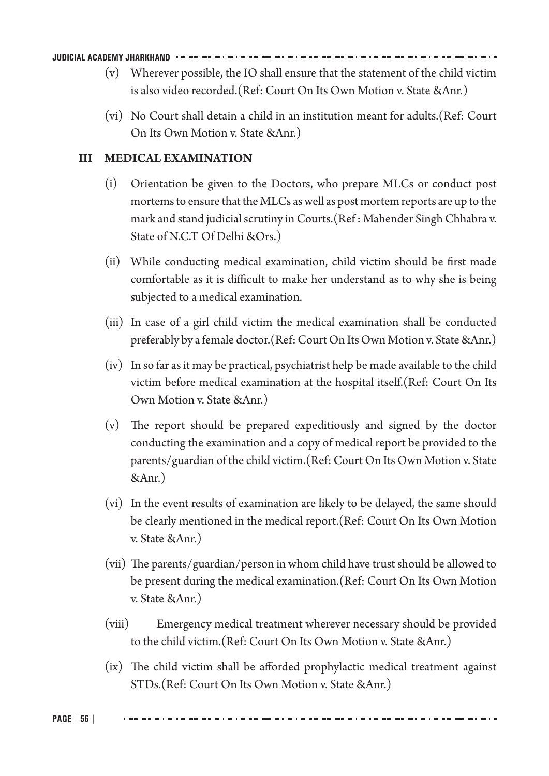- (v) Wherever possible, the IO shall ensure that the statement of the child victim is also video recorded.(Ref: Court On Its Own Motion v. State &Anr.)
- (vi) No Court shall detain a child in an institution meant for adults.(Ref: Court On Its Own Motion v. State &Anr.)

### **III MEDICAL EXAMINATION**

- (i) Orientation be given to the Doctors, who prepare MLCs or conduct post mortems to ensure that the MLCs as well as post mortem reports are up to the mark and stand judicial scrutiny in Courts.(Ref : Mahender Singh Chhabra v. State of N.C.T Of Delhi &Ors.)
- (ii) While conducting medical examination, child victim should be first made comfortable as it is difficult to make her understand as to why she is being subjected to a medical examination.
- (iii) In case of a girl child victim the medical examination shall be conducted preferably by a female doctor.(Ref: Court On Its Own Motion v. State &Anr.)
- (iv) In so far as it may be practical, psychiatrist help be made available to the child victim before medical examination at the hospital itself.(Ref: Court On Its Own Motion v. State &Anr.)
- (v) The report should be prepared expeditiously and signed by the doctor conducting the examination and a copy of medical report be provided to the parents/guardian of the child victim.(Ref: Court On Its Own Motion v. State &Anr.)
- (vi) In the event results of examination are likely to be delayed, the same should be clearly mentioned in the medical report.(Ref: Court On Its Own Motion v. State &Anr.)
- (vii) The parents/guardian/person in whom child have trust should be allowed to be present during the medical examination.(Ref: Court On Its Own Motion v. State &Anr.)
- (viii) Emergency medical treatment wherever necessary should be provided to the child victim.(Ref: Court On Its Own Motion v. State &Anr.)
- (ix) The child victim shall be afforded prophylactic medical treatment against STDs.(Ref: Court On Its Own Motion v. State &Anr.)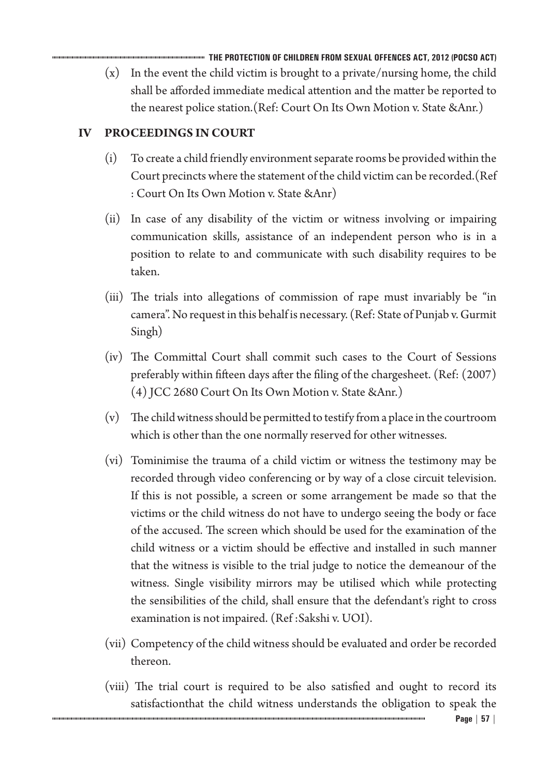**THE PROTECTION OF CHILDREN FROM SEXUAL OFFENCES ACT, 2012 (POCSO ACT)**

(x) In the event the child victim is brought to a private/nursing home, the child shall be afforded immediate medical attention and the matter be reported to the nearest police station.(Ref: Court On Its Own Motion v. State &Anr.)

# **IV PROCEEDINGS IN COURT**

- (i) To create a child friendly environment separate rooms be provided within the Court precincts where the statement of the child victim can be recorded.(Ref : Court On Its Own Motion v. State &Anr)
- (ii) In case of any disability of the victim or witness involving or impairing communication skills, assistance of an independent person who is in a position to relate to and communicate with such disability requires to be taken.
- (iii) The trials into allegations of commission of rape must invariably be "in camera". No request in this behalf is necessary. (Ref: State of Punjab v. Gurmit Singh)
- (iv) The Committal Court shall commit such cases to the Court of Sessions preferably within fifteen days after the filing of the chargesheet. (Ref: (2007) (4) JCC 2680 Court On Its Own Motion v. State &Anr.)
- (v) The child witness should be permitted to testify from a place in the courtroom which is other than the one normally reserved for other witnesses.
- (vi) Tominimise the trauma of a child victim or witness the testimony may be recorded through video conferencing or by way of a close circuit television. If this is not possible, a screen or some arrangement be made so that the victims or the child witness do not have to undergo seeing the body or face of the accused. The screen which should be used for the examination of the child witness or a victim should be effective and installed in such manner that the witness is visible to the trial judge to notice the demeanour of the witness. Single visibility mirrors may be utilised which while protecting the sensibilities of the child, shall ensure that the defendant's right to cross examination is not impaired. (Ref :Sakshi v. UOI).
- (vii) Competency of the child witness should be evaluated and order be recorded thereon.
- (viii) The trial court is required to be also satisfied and ought to record its satisfactionthat the child witness understands the obligation to speak the

**Page | 57 |**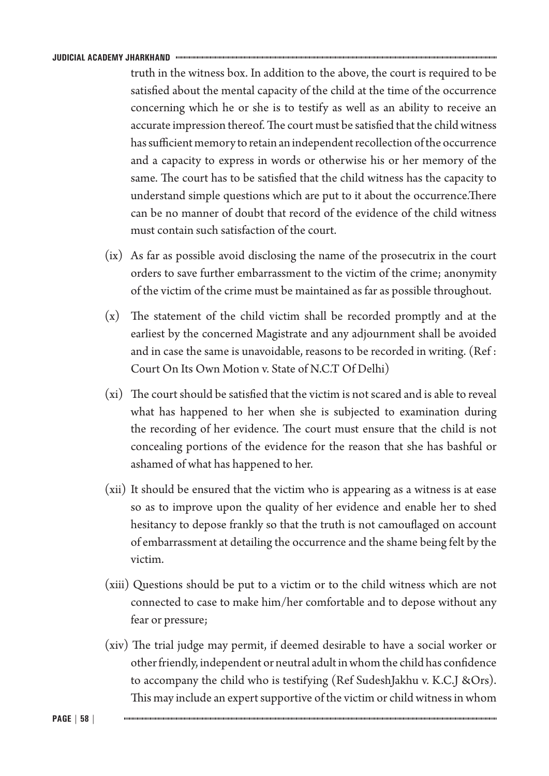truth in the witness box. In addition to the above, the court is required to be satisfied about the mental capacity of the child at the time of the occurrence concerning which he or she is to testify as well as an ability to receive an accurate impression thereof. The court must be satisfied that the child witness has sufficient memory to retain an independent recollection of the occurrence and a capacity to express in words or otherwise his or her memory of the same. The court has to be satisfied that the child witness has the capacity to understand simple questions which are put to it about the occurrence.There can be no manner of doubt that record of the evidence of the child witness must contain such satisfaction of the court.

- (ix) As far as possible avoid disclosing the name of the prosecutrix in the court orders to save further embarrassment to the victim of the crime; anonymity of the victim of the crime must be maintained as far as possible throughout.
- (x) The statement of the child victim shall be recorded promptly and at the earliest by the concerned Magistrate and any adjournment shall be avoided and in case the same is unavoidable, reasons to be recorded in writing. (Ref : Court On Its Own Motion v. State of N.C.T Of Delhi)
- (xi) The court should be satisfied that the victim is not scared and is able to reveal what has happened to her when she is subjected to examination during the recording of her evidence. The court must ensure that the child is not concealing portions of the evidence for the reason that she has bashful or ashamed of what has happened to her.
- (xii) It should be ensured that the victim who is appearing as a witness is at ease so as to improve upon the quality of her evidence and enable her to shed hesitancy to depose frankly so that the truth is not camouflaged on account of embarrassment at detailing the occurrence and the shame being felt by the victim.
- (xiii) Questions should be put to a victim or to the child witness which are not connected to case to make him/her comfortable and to depose without any fear or pressure;
- (xiv) The trial judge may permit, if deemed desirable to have a social worker or other friendly, independent or neutral adult in whom the child has confidence to accompany the child who is testifying (Ref SudeshJakhu v. K.C.J &Ors). This may include an expert supportive of the victim or child witness in whom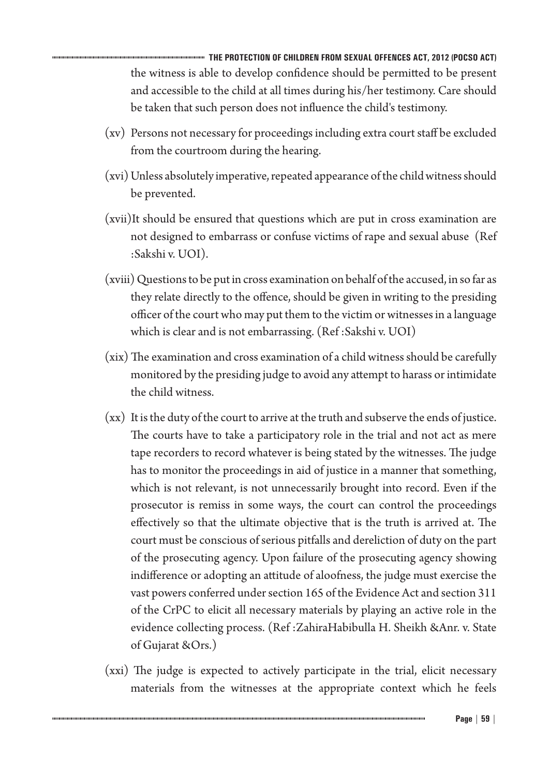**THE PROTECTION OF CHILDREN FROM SEXUAL OFFENCES ACT, 2012 (POCSO ACT)** the witness is able to develop confidence should be permitted to be present and accessible to the child at all times during his/her testimony. Care should be taken that such person does not influence the child's testimony.

- (xv) Persons not necessary for proceedings including extra court staff be excluded from the courtroom during the hearing.
- (xvi) Unless absolutely imperative, repeated appearance of the child witness should be prevented.
- (xvii)It should be ensured that questions which are put in cross examination are not designed to embarrass or confuse victims of rape and sexual abuse (Ref :Sakshi v. UOI).
- (xviii) Questions to be put in cross examination on behalf of the accused, in so far as they relate directly to the offence, should be given in writing to the presiding officer of the court who may put them to the victim or witnesses in a language which is clear and is not embarrassing. (Ref :Sakshi v. UOI)
- (xix) The examination and cross examination of a child witness should be carefully monitored by the presiding judge to avoid any attempt to harass or intimidate the child witness.
- (xx) It is the duty of the court to arrive at the truth and subserve the ends of justice. The courts have to take a participatory role in the trial and not act as mere tape recorders to record whatever is being stated by the witnesses. The judge has to monitor the proceedings in aid of justice in a manner that something, which is not relevant, is not unnecessarily brought into record. Even if the prosecutor is remiss in some ways, the court can control the proceedings effectively so that the ultimate objective that is the truth is arrived at. The court must be conscious of serious pitfalls and dereliction of duty on the part of the prosecuting agency. Upon failure of the prosecuting agency showing indifference or adopting an attitude of aloofness, the judge must exercise the vast powers conferred under section 165 of the Evidence Act and section 311 of the CrPC to elicit all necessary materials by playing an active role in the evidence collecting process. (Ref :ZahiraHabibulla H. Sheikh &Anr. v. State of Gujarat &Ors.)
- (xxi) The judge is expected to actively participate in the trial, elicit necessary materials from the witnesses at the appropriate context which he feels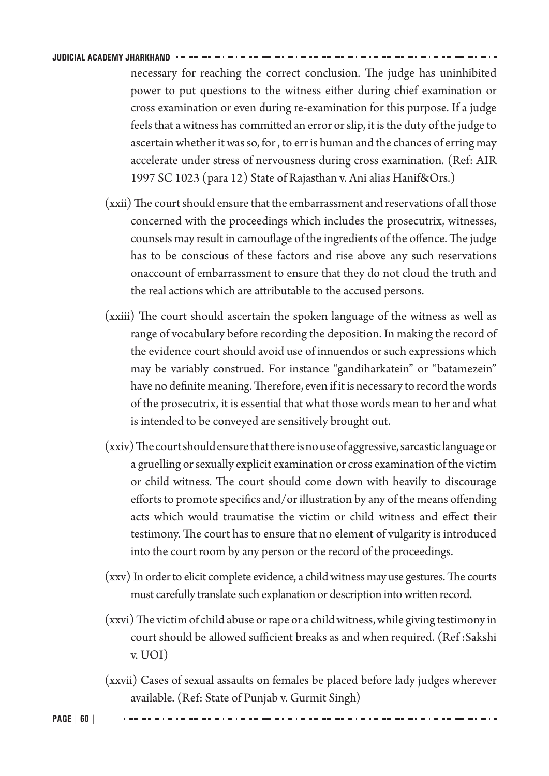necessary for reaching the correct conclusion. The judge has uninhibited power to put questions to the witness either during chief examination or cross examination or even during re-examination for this purpose. If a judge feels that a witness has committed an error or slip, it is the duty of the judge to ascertain whether it was so, for , to err is human and the chances of erring may accelerate under stress of nervousness during cross examination. (Ref: AIR 1997 SC 1023 (para 12) State of Rajasthan v. Ani alias Hanif&Ors.)

- (xxii) The court should ensure that the embarrassment and reservations of all those concerned with the proceedings which includes the prosecutrix, witnesses, counsels may result in camouflage of the ingredients of the offence. The judge has to be conscious of these factors and rise above any such reservations onaccount of embarrassment to ensure that they do not cloud the truth and the real actions which are attributable to the accused persons.
- (xxiii) The court should ascertain the spoken language of the witness as well as range of vocabulary before recording the deposition. In making the record of the evidence court should avoid use of innuendos or such expressions which may be variably construed. For instance "gandiharkatein" or "batamezein" have no definite meaning. Therefore, even if it is necessary to record the words of the prosecutrix, it is essential that what those words mean to her and what is intended to be conveyed are sensitively brought out.
- (xxiv) The court should ensure that there is no use of aggressive, sarcastic language or a gruelling or sexually explicit examination or cross examination of the victim or child witness. The court should come down with heavily to discourage efforts to promote specifics and/or illustration by any of the means offending acts which would traumatise the victim or child witness and effect their testimony. The court has to ensure that no element of vulgarity is introduced into the court room by any person or the record of the proceedings.
- (xxv) In order to elicit complete evidence, a child witness may use gestures. The courts must carefully translate such explanation or description into written record.
- (xxvi) The victim of child abuse or rape or a child witness, while giving testimony in court should be allowed sufficient breaks as and when required. (Ref :Sakshi v. UOI)
- (xxvii) Cases of sexual assaults on females be placed before lady judges wherever available. (Ref: State of Punjab v. Gurmit Singh)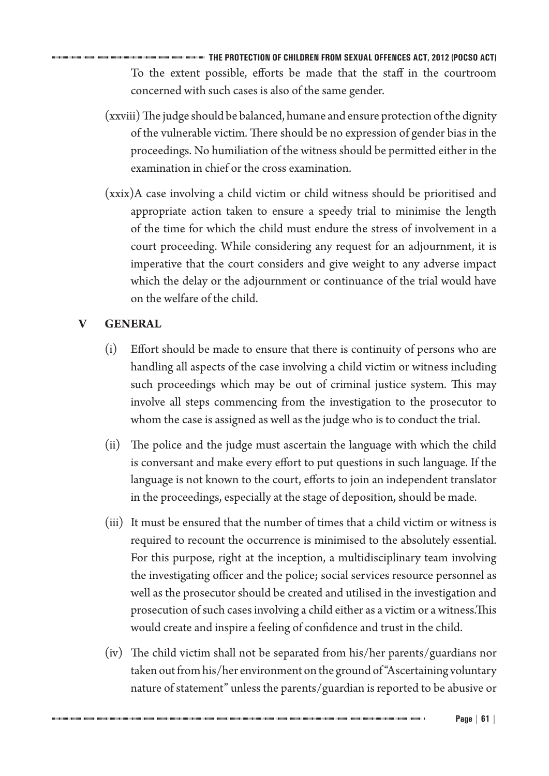**THE PROTECTION OF CHILDREN FROM SEXUAL OFFENCES ACT, 2012 (POCSO ACT)** To the extent possible, efforts be made that the staff in the courtroom concerned with such cases is also of the same gender.

- (xxviii) The judge should be balanced, humane and ensure protection of the dignity of the vulnerable victim. There should be no expression of gender bias in the proceedings. No humiliation of the witness should be permitted either in the examination in chief or the cross examination.
- (xxix)A case involving a child victim or child witness should be prioritised and appropriate action taken to ensure a speedy trial to minimise the length of the time for which the child must endure the stress of involvement in a court proceeding. While considering any request for an adjournment, it is imperative that the court considers and give weight to any adverse impact which the delay or the adjournment or continuance of the trial would have on the welfare of the child.

# **V GENERAL**

- (i) Effort should be made to ensure that there is continuity of persons who are handling all aspects of the case involving a child victim or witness including such proceedings which may be out of criminal justice system. This may involve all steps commencing from the investigation to the prosecutor to whom the case is assigned as well as the judge who is to conduct the trial.
- (ii) The police and the judge must ascertain the language with which the child is conversant and make every effort to put questions in such language. If the language is not known to the court, efforts to join an independent translator in the proceedings, especially at the stage of deposition, should be made.
- (iii) It must be ensured that the number of times that a child victim or witness is required to recount the occurrence is minimised to the absolutely essential. For this purpose, right at the inception, a multidisciplinary team involving the investigating officer and the police; social services resource personnel as well as the prosecutor should be created and utilised in the investigation and prosecution of such cases involving a child either as a victim or a witness.This would create and inspire a feeling of confidence and trust in the child.
- (iv) The child victim shall not be separated from his/her parents/guardians nor taken out from his/her environment on the ground of "Ascertaining voluntary nature of statement" unless the parents/guardian is reported to be abusive or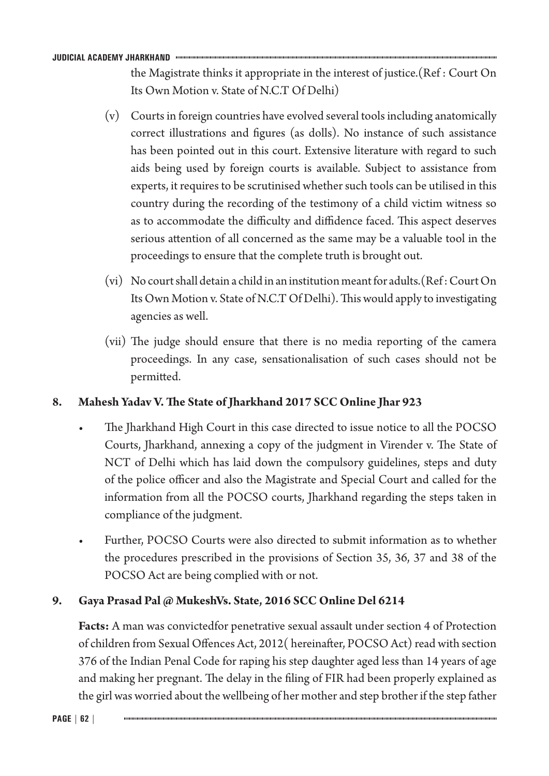the Magistrate thinks it appropriate in the interest of justice.(Ref : Court On Its Own Motion v. State of N.C.T Of Delhi)

- (v) Courts in foreign countries have evolved several tools including anatomically correct illustrations and figures (as dolls). No instance of such assistance has been pointed out in this court. Extensive literature with regard to such aids being used by foreign courts is available. Subject to assistance from experts, it requires to be scrutinised whether such tools can be utilised in this country during the recording of the testimony of a child victim witness so as to accommodate the difficulty and diffidence faced. This aspect deserves serious attention of all concerned as the same may be a valuable tool in the proceedings to ensure that the complete truth is brought out.
- (vi) No court shall detain a child in an institution meant for adults.(Ref : Court On Its Own Motion v. State of N.C.T Of Delhi). This would apply to investigating agencies as well.
- (vii) The judge should ensure that there is no media reporting of the camera proceedings. In any case, sensationalisation of such cases should not be permitted.

# **8. Mahesh Yadav V. The State of Jharkhand 2017 SCC Online Jhar 923**

- The Jharkhand High Court in this case directed to issue notice to all the POCSO Courts, Jharkhand, annexing a copy of the judgment in Virender v. The State of NCT of Delhi which has laid down the compulsory guidelines, steps and duty of the police officer and also the Magistrate and Special Court and called for the information from all the POCSO courts, Jharkhand regarding the steps taken in compliance of the judgment.
- Further, POCSO Courts were also directed to submit information as to whether the procedures prescribed in the provisions of Section 35, 36, 37 and 38 of the POCSO Act are being complied with or not.

# **9. Gaya Prasad Pal @ MukeshVs. State, 2016 SCC Online Del 6214**

**Facts:** A man was convictedfor penetrative sexual assault under section 4 of Protection of children from Sexual Offences Act, 2012( hereinafter, POCSO Act) read with section 376 of the Indian Penal Code for raping his step daughter aged less than 14 years of age and making her pregnant. The delay in the filing of FIR had been properly explained as the girl was worried about the wellbeing of her mother and step brother if the step father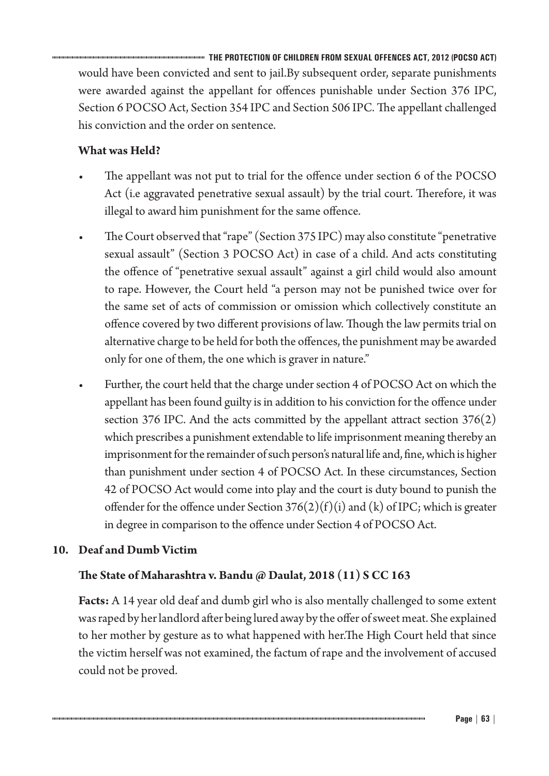**THE PROTECTION OF CHILDREN FROM SEXUAL OFFENCES ACT, 2012 (POCSO ACT)** would have been convicted and sent to jail.By subsequent order, separate punishments were awarded against the appellant for offences punishable under Section 376 IPC, Section 6 POCSO Act, Section 354 IPC and Section 506 IPC. The appellant challenged his conviction and the order on sentence.

# **What was Held?**

- The appellant was not put to trial for the offence under section 6 of the POCSO Act (i.e aggravated penetrative sexual assault) by the trial court. Therefore, it was illegal to award him punishment for the same offence.
- The Court observed that "rape" (Section 375 IPC) may also constitute "penetrative sexual assault" (Section 3 POCSO Act) in case of a child. And acts constituting the offence of "penetrative sexual assault" against a girl child would also amount to rape. However, the Court held "a person may not be punished twice over for the same set of acts of commission or omission which collectively constitute an offence covered by two different provisions of law. Though the law permits trial on alternative charge to be held for both the offences, the punishment may be awarded only for one of them, the one which is graver in nature."
- Further, the court held that the charge under section 4 of POCSO Act on which the appellant has been found guilty is in addition to his conviction for the offence under section 376 IPC. And the acts committed by the appellant attract section 376(2) which prescribes a punishment extendable to life imprisonment meaning thereby an imprisonment for the remainder of such person's natural life and, fine, which is higher than punishment under section 4 of POCSO Act. In these circumstances, Section 42 of POCSO Act would come into play and the court is duty bound to punish the offender for the offence under Section  $376(2)(f)(i)$  and (k) of IPC; which is greater in degree in comparison to the offence under Section 4 of POCSO Act.

# **10. Deaf and Dumb Victim**

# **The State of Maharashtra v. Bandu @ Daulat, 2018 (11) S CC 163**

**Facts:** A 14 year old deaf and dumb girl who is also mentally challenged to some extent was raped by her landlord after being lured away by the offer of sweet meat. She explained to her mother by gesture as to what happened with her.The High Court held that since the victim herself was not examined, the factum of rape and the involvement of accused could not be proved.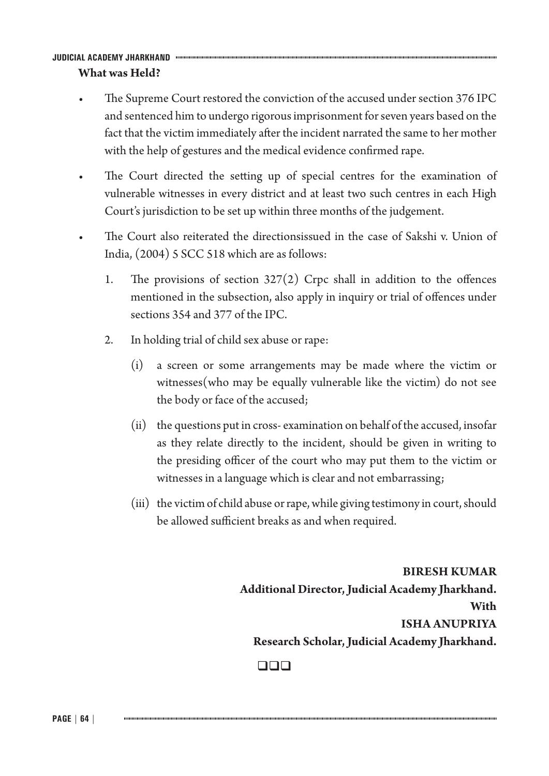#### **JUDICIAL ACADEMY JHARKHAND What was Held?**

- The Supreme Court restored the conviction of the accused under section 376 IPC and sentenced him to undergo rigorous imprisonment for seven years based on the fact that the victim immediately after the incident narrated the same to her mother with the help of gestures and the medical evidence confirmed rape.
- The Court directed the setting up of special centres for the examination of vulnerable witnesses in every district and at least two such centres in each High Court's jurisdiction to be set up within three months of the judgement.
- The Court also reiterated the directionsissued in the case of Sakshi v. Union of India, (2004) 5 SCC 518 which are as follows:
	- 1. The provisions of section  $327(2)$  Crpc shall in addition to the offences mentioned in the subsection, also apply in inquiry or trial of offences under sections 354 and 377 of the IPC.
	- 2. In holding trial of child sex abuse or rape:
		- (i) a screen or some arrangements may be made where the victim or witnesses(who may be equally vulnerable like the victim) do not see the body or face of the accused;
		- (ii) the questions put in cross- examination on behalf of the accused, insofar as they relate directly to the incident, should be given in writing to the presiding officer of the court who may put them to the victim or witnesses in a language which is clear and not embarrassing;
		- (iii) the victim of child abuse or rape, while giving testimony in court, should be allowed sufficient breaks as and when required.

**BIRESH KUMAR Additional Director, Judicial Academy Jharkhand. With ISHA ANUPRIYA Research Scholar, Judicial Academy Jharkhand.**

## $\Box$